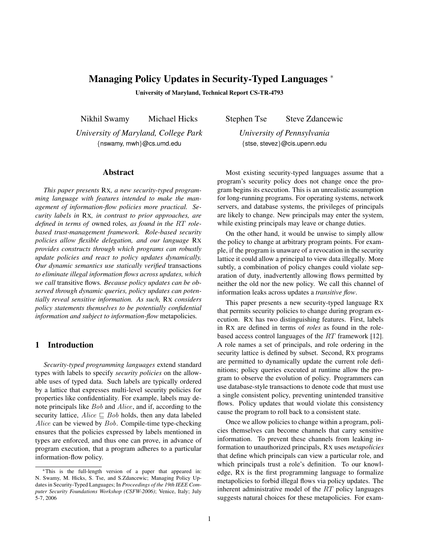# Managing Policy Updates in Security-Typed Languages <sup>∗</sup>

University of Maryland, Technical Report CS-TR-4793

Nikhil Swamy Michael Hicks

*University of Maryland, College Park* {nswamy, mwh}@cs.umd.edu

#### Abstract

*This paper presents* RX*, a new security-typed programming language with features intended to make the management of information-flow policies more practical. Security labels in* RX*, in contrast to prior approaches, are defined in terms of* owned roles*, as found in the* RT *rolebased trust-management framework. Role-based security policies allow flexible delegation, and our language* RX *provides constructs through which programs can robustly update policies and react to policy updates dynamically. Our dynamic semantics use statically verified* transactions *to eliminate illegal information flows across updates, which we call* transitive flows*. Because policy updates can be observed through dynamic queries, policy updates can potentially reveal sensitive information. As such,* RX *considers policy statements themselves to be potentially confidential information and subject to information-flow* metapolicies*.*

## 1 Introduction

*Security-typed programming languages* extend standard types with labels to specify *security policies* on the allowable uses of typed data. Such labels are typically ordered by a lattice that expresses multi-level security policies for properties like confidentiality. For example, labels may denote principals like Bob and Alice, and if, according to the security lattice,  $Alice \sqsubset Bob$  holds, then any data labeled Alice can be viewed by Bob. Compile-time type-checking ensures that the policies expressed by labels mentioned in types are enforced, and thus one can prove, in advance of program execution, that a program adheres to a particular information-flow policy.

Stephen Tse Steve Zdancewic

*University of Pennsylvania* {stse, stevez}@cis.upenn.edu

Most existing security-typed languages assume that a program's security policy does not change once the program begins its execution. This is an unrealistic assumption for long-running programs. For operating systems, network servers, and database systems, the privileges of principals are likely to change. New principals may enter the system, while existing principals may leave or change duties.

On the other hand, it would be unwise to simply allow the policy to change at arbitrary program points. For example, if the program is unaware of a revocation in the security lattice it could allow a principal to view data illegally. More subtly, a combination of policy changes could violate separation of duty, inadvertently allowing flows permitted by neither the old nor the new policy. We call this channel of information leaks across updates a *transitive flow*.

This paper presents a new security-typed language RX that permits security policies to change during program execution. RX has two distinguishing features. First, labels in RX are defined in terms of *roles* as found in the rolebased access control languages of the RT framework [12]. A role names a set of principals, and role ordering in the security lattice is defined by subset. Second, RX programs are permitted to dynamically update the current role definitions; policy queries executed at runtime allow the program to observe the evolution of policy. Programmers can use database-style transactions to denote code that must use a single consistent policy, preventing unintended transitive flows. Policy updates that would violate this consistency cause the program to roll back to a consistent state.

Once we allow policies to change within a program, policies themselves can become channels that carry sensitive information. To prevent these channels from leaking information to unauthorized principals, RX uses *metapolicies* that define which principals can view a particular role, and which principals trust a role's definition. To our knowledge, RX is the first programming language to formalize metapolicies to forbid illegal flows via policy updates. The inherent administrative model of the RT policy languages suggests natural choices for these metapolicies. For exam-

<sup>∗</sup>This is the full-length version of a paper that appeared in: N. Swamy, M. Hicks, S. Tse, and S.Zdancewic; Managing Policy Updates in Security-Typed Languages; In *Proceedings of the 19th IEEE Computer Security Foundations Workshop (CSFW-2006)*; Venice, Italy; July 5-7, 2006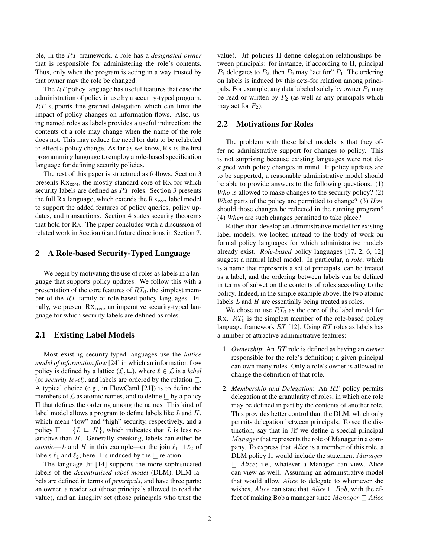ple, in the RT framework, a role has a *designated owner* that is responsible for administering the role's contents. Thus, only when the program is acting in a way trusted by that owner may the role be changed.

The RT policy language has useful features that ease the administration of policy in use by a security-typed program. RT supports fine-grained delegation which can limit the impact of policy changes on information flows. Also, using named roles as labels provides a useful indirection: the contents of a role may change when the name of the role does not. This may reduce the need for data to be relabeled to effect a policy change. As far as we know, RX is the first programming language to employ a role-based specification language for defining security policies.

The rest of this paper is structured as follows. Section 3 presents  $Rx_{\text{core}}$ , the mostly-standard core of Rx for which security labels are defined as RT roles. Section 3 presents the full Rx language, which extends the  $Rx_{core}$  label model to support the added features of policy queries, policy updates, and transactions. Section 4 states security theorems that hold for RX. The paper concludes with a discussion of related work in Section 6 and future directions in Section 7.

## 2 A Role-based Security-Typed Language

We begin by motivating the use of roles as labels in a language that supports policy updates. We follow this with a presentation of the core features of  $RT_0$ , the simplest member of the RT family of role-based policy languages. Finally, we present  $Rx_{core}$ , an imperative security-typed language for which security labels are defined as roles.

## 2.1 Existing Label Models

Most existing security-typed languages use the *lattice model of information flow* [24] in which an information flow policy is defined by a lattice  $(\mathcal{L}, \sqsubseteq)$ , where  $\ell \in \mathcal{L}$  is a *label* (or *security level*), and labels are ordered by the relation  $\sqsubseteq$ . A typical choice (e.g., in FlowCaml [21]) is to define the members of  $\mathcal L$  as atomic names, and to define  $\subseteq$  by a policy Π that defines the ordering among the names. This kind of label model allows a program to define labels like  $L$  and  $H$ , which mean "low" and "high" security, respectively, and a policy  $\Pi = \{L \sqsubseteq H\}$ , which indicates that L is less restrictive than  $H$ . Generally speaking, labels can either be *atomic—L* and H in this example—or the join  $\ell_1 \sqcup \ell_2$  of labels  $\ell_1$  and  $\ell_2$ ; here  $\sqcup$  is induced by the  $\sqsubseteq$  relation.

The language Jif [14] supports the more sophisticated labels of the *decentralized label model* (DLM). DLM labels are defined in terms of *principals*, and have three parts: an owner, a reader set (those principals allowed to read the value), and an integrity set (those principals who trust the

value). Jif policies Π define delegation relationships between principals: for instance, if according to Π, principal  $P_1$  delegates to  $P_2$ , then  $P_2$  may "act for"  $P_1$ . The ordering on labels is induced by this acts-for relation among principals. For example, any data labeled solely by owner  $P_1$  may be read or written by  $P_2$  (as well as any principals which may act for  $P_2$ ).

### 2.2 Motivations for Roles

The problem with these label models is that they offer no administrative support for changes to policy. This is not surprising because existing languages were not designed with policy changes in mind. If policy updates are to be supported, a reasonable administrative model should be able to provide answers to the following questions. (1) *Who* is allowed to make changes to the security policy? (2) *What* parts of the policy are permitted to change? (3) *How* should those changes be reflected in the running program? (4) *When* are such changes permitted to take place?

Rather than develop an administrative model for existing label models, we looked instead to the body of work on formal policy languages for which administrative models already exist. *Role-based* policy languages [17, 2, 6, 12] suggest a natural label model. In particular, a *role*, which is a name that represents a set of principals, can be treated as a label, and the ordering between labels can be defined in terms of subset on the contents of roles according to the policy. Indeed, in the simple example above, the two atomic labels L and H are essentially being treated as roles.

We chose to use  $RT_0$  as the core of the label model for RX.  $RT_0$  is the simplest member of the role-based policy language framework  $RT$  [12]. Using  $RT$  roles as labels has a number of attractive administrative features:

- 1. *Ownership*: An RT role is defined as having an *owner* responsible for the role's definition; a given principal can own many roles. Only a role's owner is allowed to change the definition of that role.
- 2. *Membership and Delegation*: An RT policy permits delegation at the granularity of roles, in which one role may be defined in part by the contents of another role. This provides better control than the DLM, which only permits delegation between principals. To see the distinction, say that in Jif we define a special principal Manager that represents the role of Manager in a company. To express that Alice is a member of this role, a DLM policy Π would include the statement Manager  $\sqsubseteq$  Alice; i.e., whatever a Manager can view, Alice can view as well. Assuming an administrative model that would allow Alice to delegate to whomever she wishes, Alice can state that  $Alice \sqsubset Bob$ , with the effect of making Bob a manager since  $Manager \sqsubset Alice$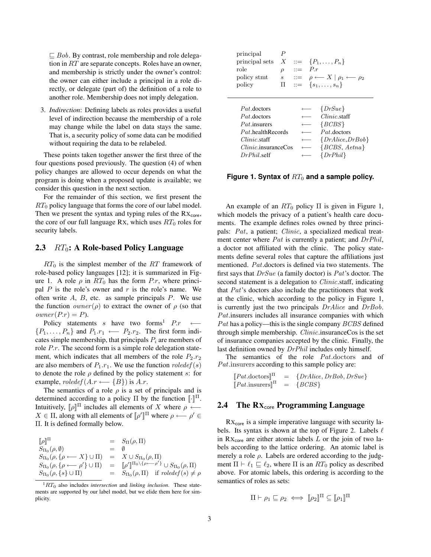$\Box$  Bob. By contrast, role membership and role delegation in RT are separate concepts. Roles have an owner, and membership is strictly under the owner's control: the owner can either include a principal in a role directly, or delegate (part of) the definition of a role to another role. Membership does not imply delegation.

3. *Indirection*: Defining labels as roles provides a useful level of indirection because the membership of a role may change while the label on data stays the same. That is, a security policy of some data can be modified without requiring the data to be relabeled.

These points taken together answer the first three of the four questions posed previously. The question (4) of when policy changes are allowed to occur depends on what the program is doing when a proposed update is available; we consider this question in the next section.

For the remainder of this section, we first present the  $RT_0$  policy language that forms the core of our label model. Then we present the syntax and typing rules of the  $Rx<sub>core</sub>$ , the core of our full language Rx, which uses  $RT_0$  roles for security labels.

## 2.3  $RT_0$ : A Role-based Policy Language

 $RT_0$  is the simplest member of the RT framework of role-based policy languages [12]; it is summarized in Figure 1. A role  $\rho$  in  $RT_0$  has the form P.r, where principal  $P$  is the role's owner and  $r$  is the role's name. We often write  $A$ ,  $B$ , etc. as sample principals  $P$ . We use the function  $\text{owner}(\rho)$  to extract the owner of  $\rho$  (so that  $\textit{owner}(P.r) = P$ ).

Policy statements s have two forms<sup>1</sup>  $P.r \leftarrow$  $\{P_1, \ldots, P_n\}$  and  $P_1.r_1 \longleftarrow P_2.r_2$ . The first form indicates simple membership, that principals  $P_i$  are members of role *P.r.* The second form is a simple role delegation statement, which indicates that all members of the role  $P_2.r_2$ are also members of  $P_1.r_1$ . We use the function  $relede f(s)$ to denote the role  $\rho$  defined by the policy statement s: for example,  $roledef(A.r \leftarrow {B})$  is  $A.r.$ 

The semantics of a role  $\rho$  is a set of principals and is determined according to a policy  $\Pi$  by the function  $\llbracket \cdot \rrbracket^{\Pi}$ . Intuitively,  $[\![\rho]\!]$ <sup>II</sup> includes all elements of X where  $\rho \leftarrow$  $X \in \Pi$ , along with all elements of  $\llbracket \rho' \rrbracket^{\Pi}$  where  $\rho \longleftarrow \rho' \in \Pi$ Π. It is defined formally below.

$$
\begin{array}{rcl}\n[\![\rho]\!]^{\Pi} & = & S_{\Pi}(\rho, \Pi) \\
S_{\Pi_0}(\rho, \emptyset) & = & \emptyset \\
S_{\Pi_0}(\rho, \{\rho \longleftarrow X\} \cup \Pi) & = & X \cup S_{\Pi_0}(\rho, \Pi) \\
S_{\Pi_0}(\rho, \{\rho \longleftarrow \rho'\} \cup \Pi) & = & [\![\rho']\!]^{\Pi_0 \setminus \{\rho \longleftarrow \rho'\}} \cup S_{\Pi_0}(\rho, \Pi) \\
S_{\Pi_0}(\rho, \{s\} \cup \Pi) & = & S_{\Pi_0}(\rho, \Pi) \quad \text{if } \text{roledef}(s) \neq \rho\n\end{array}
$$

| principal<br>principal sets<br>role<br>policy stmt<br>policy | Р<br>$\boldsymbol{X}$<br>$\rho$<br>$\boldsymbol{s}$<br>П | $\mathbf{m}$ | Pr | $ ::= \{P_1, \ldots, P_n\}$<br>$\mathrel{\mathop:}= \rho \longleftarrow X \mid \rho_1 \longleftarrow \rho_2$<br>$ ::= \{s_1, \ldots, s_n\}$ |
|--------------------------------------------------------------|----------------------------------------------------------|--------------|----|---------------------------------------------------------------------------------------------------------------------------------------------|
|                                                              |                                                          |              |    |                                                                                                                                             |
| <i>Pat</i> doctors                                           |                                                          |              |    | $\{DrSue\}$                                                                                                                                 |
| <i>Pat</i> doctors                                           |                                                          |              |    | $Clinic$ .staff                                                                                                                             |
| <i>Pat</i> insurers                                          |                                                          |              |    | ${BCBS}$                                                                                                                                    |
| <i>Pat</i> health Records                                    |                                                          |              |    | $Pat$ .doctors                                                                                                                              |
| <i>Clinic</i> staff                                          |                                                          |              |    | $\{DrAlice, DrBob\}$                                                                                                                        |
| $Clinic$ insurance Cos                                       |                                                          |              |    | ${BCBS, Aetna}$                                                                                                                             |
| DrPhil self                                                  |                                                          |              |    | $\{DrPhil\}$                                                                                                                                |

Figure 1. Syntax of  $RT_0$  and a sample policy.

An example of an  $RT_0$  policy  $\Pi$  is given in Figure 1, which models the privacy of a patient's health care documents. The example defines roles owned by three principals: Pat, a patient; Clinic, a specialized medical treatment center where Pat is currently a patient; and DrPhil, a doctor not affiliated with the clinic. The policy statements define several roles that capture the affiliations just mentioned. Pat.doctors is defined via two statements. The first says that  $DrSue$  (a family doctor) is  $Pat$ 's doctor. The second statement is a delegation to *Clinic*.staff, indicating that Pat's doctors also include the practitioners that work at the clinic, which according to the policy in Figure 1, is currently just the two principals  $DrAlice$  and  $DrBob$ . Pat. insurers includes all insurance companies with which  $Pat$  has a policy—this is the single company  $BCBS$  defined through simple membership. Clinic.insuranceCos is the set of insurance companies accepted by the clinic. Finally, the last definition owned by  $DrPhil$  includes only himself.

The semantics of the role Pat.doctors and of Pat. insurers according to this sample policy are:

```
[Pat.doctors]]^{\Pi} = \{DrAlice, DrBob, DrSue\}[Pat.insurers]<sup>Π</sup> = {BCBS}
```
## 2.4 The  $\mathbf{R} \mathbf{X}_{\text{core}}$  Programming Language

RX<sub>core</sub> is a simple imperative language with security labels. Its syntax is shown at the top of Figure 2. Labels  $\ell$ in  $Rx_{core}$  are either atomic labels  $L$  or the join of two labels according to the lattice ordering. An atomic label is merely a role  $\rho$ . Labels are ordered according to the judgment  $\Pi \vdash \ell_1 \sqsubseteq \ell_2$ , where  $\Pi$  is an  $RT_0$  policy as described above. For atomic labels, this ordering is according to the semantics of roles as sets:

$$
\Pi \vdash \rho_1 \sqsubseteq \rho_2 \iff [\![\rho_2]\!]^\Pi \subseteq [\![\rho_1]\!]^\Pi
$$

 ${}^{1}RT_{0}$  also includes *intersection* and *linking inclusion*. These statements are supported by our label model, but we elide them here for simplicity.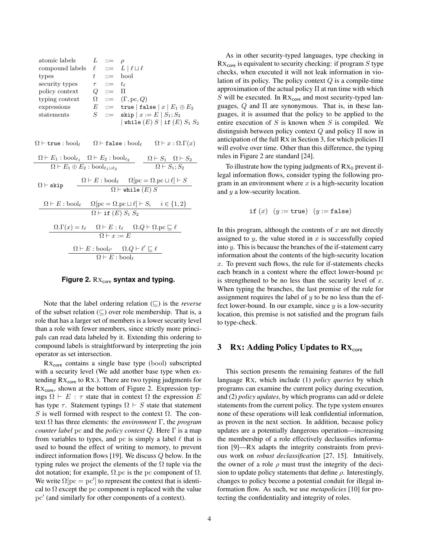$$
\begin{array}{llllll} \text{atomic labels} & L & ::= & \rho \\ \text{compound labels} & \ell & ::= & L \mid \ell \sqcup \ell \\ \text{types} & t & ::= & \text{bool} \\ \text{security types} & \tau & ::= & t_\ell \\ \text{policy context} & Q & ::= & \Pi \\ \text{typing context} & \Omega & ::= & (\Gamma, \text{pc}, Q) \\ \text{expressions} & E & ::= & \text{true} \mid \text{false} \mid x \mid E_1 \oplus E_2 \\ \text{statements} & S & ::= & \text{skip} \mid x := E \mid S_1; S_2 \\ & & & | \text{while } (E) \mid S \mid \text{if } (E) \mid S_1 \mid S_2 \end{array}
$$

 $\Omega \vdash$  true : bool<sub> $\ell$ </sub>  $\Omega \vdash$  false : bool $\ell$   $\Omega \vdash x : \Omega.\Gamma(x)$  $\Omega \vdash E_1 : \text{bool}_{\ell_1} \quad \Omega \vdash E_2 : \text{bool}_{\ell_2}$  $\Omega \vdash E_1 \oplus E_2 : \text{bool}_{\ell_1 \sqcup \ell_2}$  $\Omega \vdash S_1 \quad \Omega \vdash S_2$  $\Omega \vdash S_1; S_2$  $\Omega \vdash$  skip  $\Omega \vdash E : \text{bool}_{\ell} \quad \quad \Omega[\text{pc} = \Omega.\text{pc} \sqcup \ell] \vdash S$  $\Omega \vdash \mathtt{while} \ (E) \ S$  $\Omega \vdash E : \text{bool}_{\ell} \quad \Omega[\text{pc} = \Omega.\text{pc} \sqcup \ell] \vdash S_i \quad i \in \{1, 2\}$  $\overline{\Omega \vdash \texttt{if} (E) S_1 S_2}$  $\Omega.\Gamma(x) = t_\ell \quad \Omega \vdash E : t_\ell \quad \Omega.Q \vdash \Omega.\mathrm{pc} \sqsubseteq \ell$  $\Omega \vdash x := E$  $\Omega \vdash E : \text{bool}_{\ell'} \quad \Omega.Q \vdash \ell' \sqsubseteq \ell$  $\Omega \vdash E : \text{bool}_{\ell}$ 

#### **Figure 2. RX<sub>core</sub> syntax and typing.**

Note that the label ordering relation  $(\sqsubseteq)$  is the *reverse* of the subset relation  $(\subseteq)$  over role membership. That is, a role that has a larger set of members is a lower security level than a role with fewer members, since strictly more principals can read data labeled by it. Extending this ordering to compound labels is straightforward by interpreting the join operator as set intersection.

 $RX<sub>core</sub>$  contains a single base type (bool) subscripted with a security level (We add another base type when extending  $Rx_{core}$  to Rx.). There are two typing judgments for  $Rx<sub>core</sub>$ , shown at the bottom of Figure 2. Expression typings  $\Omega \vdash E : \tau$  state that in context  $\Omega$  the expression E has type  $\tau$ . Statement typings  $\Omega \vdash S$  state that statement S is well formed with respect to the context  $\Omega$ . The context Ω has three elements: the *environment* Γ, the *program counter label* pc and the *policy context* Q. Here Γ is a map from variables to types, and pc is simply a label  $\ell$  that is used to bound the effect of writing to memory, to prevent indirect information flows [19]. We discuss Q below. In the typing rules we project the elements of the  $\Omega$  tuple via the dot notation; for example,  $\Omega$ .pc is the pc component of  $\Omega$ . We write  $\Omega[\text{pc} = \text{pc'}]$  to represent the context that is identical to  $\Omega$  except the pc component is replaced with the value pc' (and similarly for other components of a context).

As in other security-typed languages, type checking in  $Rx<sub>core</sub>$  is equivalent to security checking: if program S type checks, when executed it will not leak information in violation of its policy. The policy context  $Q$  is a compile-time approximation of the actual policy Π at run time with which S will be executed. In  $Rx_{core}$  and most security-typed languages,  $Q$  and  $\Pi$  are synonymous. That is, in these languages, it is assumed that the policy to be applied to the entire execution of  $S$  is known when  $S$  is compiled. We distinguish between policy context  $Q$  and policy  $\Pi$  now in anticipation of the full RX in Section 3, for which policies Π will evolve over time. Other than this difference, the typing rules in Figure 2 are standard [24].

To illustrate how the typing judgments of  $Rx_0$  prevent illegal information flows, consider typing the following program in an environment where  $x$  is a high-security location and y a low-security location.

$$
\mathtt{if}\ (x)\ \ (y := \mathtt{true})\ \ (y := \mathtt{false})
$$

In this program, although the contents of  $x$  are not directly assigned to  $y$ , the value stored in  $x$  is successfully copied into  $y$ . This is because the branches of the if-statement carry information about the contents of the high-security location  $x$ . To prevent such flows, the rule for if-statements checks each branch in a context where the effect lower-bound pc is strengthened to be no less than the security level of  $x$ . When typing the branches, the last premise of the rule for assignment requires the label of  $y$  to be no less than the effect lower-bound. In our example, since  $y$  is a low-security location, this premise is not satisfied and the program fails to type-check.

## 3 RX: Adding Policy Updates to  $\mathbf{R} \mathbf{X}_{\text{core}}$

This section presents the remaining features of the full language RX, which include (1) *policy queries* by which programs can examine the current policy during execution, and (2) *policy updates*, by which programs can add or delete statements from the current policy. The type system ensures none of these operations will leak confidential information, as proven in the next section. In addition, because policy updates are a potentially dangerous operation—increasing the membership of a role effectively declassifies information [9]—RX adapts the integrity constraints from previous work on *robust declassification* [27, 15]. Intuitively, the owner of a role  $\rho$  must trust the integrity of the decision to update policy statements that define  $\rho$ . Interestingly, changes to policy become a potential conduit for illegal information flow. As such, we use *metapolicies* [10] for protecting the confidentiality and integrity of roles.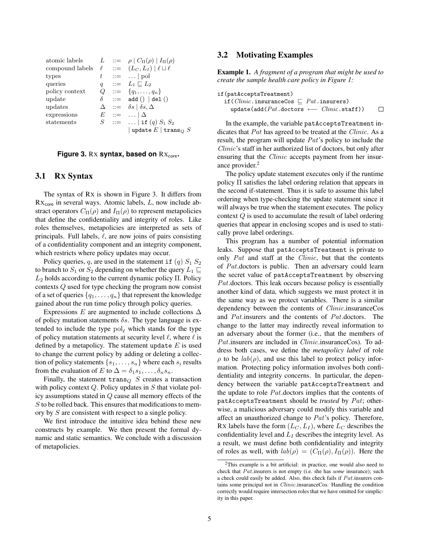| atomic labels                                              |                  | $L \quad ::= \quad \rho \mid C_{\Pi}(\rho) \mid I_{\Pi}(\rho)$ |
|------------------------------------------------------------|------------------|----------------------------------------------------------------|
| compound labels $\ell$ ::= $(L_C, L_I)   \ell \sqcup \ell$ |                  |                                                                |
| types                                                      | t                | $ ::= \dots   \text{pol}$                                      |
| queries                                                    | $\boldsymbol{q}$ | $\therefore = L_1 \sqsubseteq L_2$                             |
| policy context                                             |                  | $Q := \{q_1, \ldots, q_n\}$                                    |
| update                                                     | $\delta$         | $ ::= \text{ add } () \mid \text{del }()$                      |
| updates                                                    |                  | $\Delta \quad ::= \quad \delta s \mid \delta s, \Delta$        |
| expressions                                                |                  | $E$ ::= $\Delta$                                               |
| statements                                                 |                  | $S$ ::=    if $(q) S_1 S_2$                                    |
|                                                            |                  | update $E$   trans $_Q S$                                      |

#### **Figure 3. Rx syntax, based on Rx<sub>core</sub>.**

#### 3.1 RX Syntax

The syntax of RX is shown in Figure 3. It differs from  $Rx<sub>core</sub>$  in several ways. Atomic labels,  $L$ , now include abstract operators  $C_{\Pi}(\rho)$  and  $I_{\Pi}(\rho)$  to represent metapolicies that define the confidentiality and integrity of roles. Like roles themselves, metapolicies are interpreted as sets of principals. Full labels,  $\ell$ , are now joins of pairs consisting of a confidentiality component and an integrity component, which restricts where policy updates may occur.

Policy queries, q, are used in the statement if  $(q)$   $S_1$   $S_2$ to branch to  $S_1$  or  $S_2$  depending on whether the query  $L_1 \sqsubseteq$  $L_2$  holds according to the current dynamic policy Π. Policy contexts Q used for type checking the program now consist of a set of queries  $\{q_1, \ldots, q_n\}$  that represent the knowledge gained about the run time policy through policy queries.

Expressions E are augmented to include collections  $\Delta$ of policy mutation statements  $\delta s$ . The type language is extended to include the type  $pol<sub>\ell</sub>$  which stands for the type of policy mutation statements at security level  $\ell$ , where  $\ell$  is defined by a metapolicy. The statement update  $E$  is used to change the current policy by adding or deleting a collection of policy statements  $\{s_1, \ldots, s_n\}$  where each  $s_i$  results from the evaluation of E to  $\Delta = \delta_1 s_1, \ldots, \delta_n s_n$ .

Finally, the statement  $trans_Q$  S creates a transaction with policy context  $Q$ . Policy updates in  $S$  that violate policy assumptions stated in Q cause all memory effects of the S to be rolled back. This ensures that modifications to memory by S are consistent with respect to a single policy.

We first introduce the intuitive idea behind these new constructs by example. We then present the formal dynamic and static semantics. We conclude with a discussion of metapolicies.

### 3.2 Motivating Examples

Example 1. *A fragment of a program that might be used to create the sample health care policy in Figure 1:*

| if(patAcceptsTreatment)                                       |   |
|---------------------------------------------------------------|---|
| if ( <i>Clinic</i> .insuranceCos $\Box$ <i>Pat</i> .insurers) |   |
| update(add( $Pat$ .doctors $\longleftarrow$ $Clinic$ .staff)) | □ |

In the example, the variable patAcceptsTreatment indicates that Pat has agreed to be treated at the Clinic. As a result, the program will update Pat's policy to include the Clinic's staff in her authorized list of doctors, but only after ensuring that the *Clinic* accepts payment from her insurance provider.<sup>2</sup>

The policy update statement executes only if the runtime policy Π satisfies the label ordering relation that appears in the second if-statement. Thus it is safe to assume this label ordering when type-checking the update statement since it will always be true when the statement executes. The policy context Q is used to accumulate the result of label ordering queries that appear in enclosing scopes and is used to statically prove label orderings.

This program has a number of potential information leaks. Suppose that patAcceptsTreatment is private to only Pat and staff at the Clinic, but that the contents of Pat.doctors is public. Then an adversary could learn the secret value of patAcceptsTreatment by observing Pat.doctors. This leak occurs because policy is essentially another kind of data, which suggests we must protect it in the same way as we protect variables. There is a similar dependency between the contents of Clinic.insuranceCos and Pat.insurers and the contents of Pat.doctors. The change to the latter may indirectly reveal information to an adversary about the former (i.e., that the members of Pat.insurers are included in *Clinic*.insuranceCos). To address both cases, we define the *metapolicy label* of role  $\rho$  to be  $lab(\rho)$ , and use this label to protect policy information. Protecting policy information involves both confidentiality and integrity concerns. In particular, the dependency between the variable patAcceptsTreatment and the update to role Pat.doctors implies that the contents of patAcceptsTreatment should be *trusted* by Pat; otherwise, a malicious adversary could modify this variable and affect an unauthorized change to Pat's policy. Therefore, RX labels have the form  $(L_C, L_I)$ , where  $L_C$  describes the confidentiality level and  $L_I$  describes the integrity level. As a result, we must define both confidentiality and integrity of roles as well, with  $lab(\rho) = (C_{\Pi}(\rho), I_{\Pi}(\rho))$ . Here the

<sup>&</sup>lt;sup>2</sup>This example is a bit artificial: in practice, one would also need to check that Pat.insurers is not empty (i.e. she has *some* insurance); such a check could easily be added. Also, this check fails if Pat.insurers contains some principal not in Clinic.insuranceCos. Handling the condition correctly would require intersection roles that we have omitted for simplicity in this paper.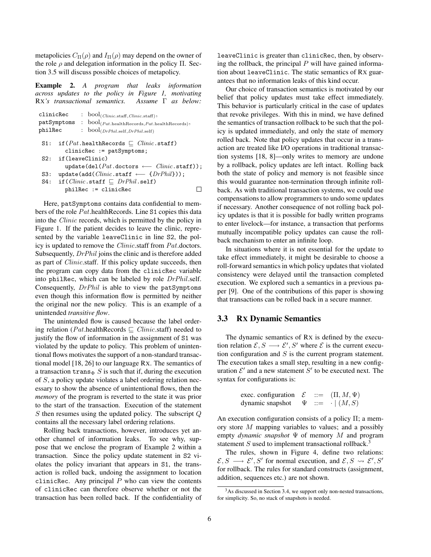metapolicies  $C_{\Pi}(\rho)$  and  $I_{\Pi}(\rho)$  may depend on the owner of the role  $\rho$  and delegation information in the policy  $\Pi$ . Section 3.5 will discuss possible choices of metapolicy.

Example 2. *A program that leaks information across updates to the policy in Figure 1, motivating* RX*'s transactional semantics. Assume* Γ *as below:*

| clinicRec                                                                                  |  |  | : $bool_{(Clinic.start, Clinic.start)},$                                                                      |  |  |
|--------------------------------------------------------------------------------------------|--|--|---------------------------------------------------------------------------------------------------------------|--|--|
|                                                                                            |  |  | $\mathtt{patSymptoms} \ \colon \ \mathtt{bool}_{(Pat.\mathit{health Records}, Pat.\mathit{health Records})},$ |  |  |
| philRec                                                                                    |  |  | : $bool_{(DrPhil. self, DrPhil. self)}$                                                                       |  |  |
| S1:                                                                                        |  |  | if $(Pat \text{.health}}$ Records $\Box$ <i>Clinic</i> .staff)<br>$clinicRec := patSymptoms;$                 |  |  |
| if(leaveClinic)<br>S2:<br>$update(det(Pat.doctors \longleftarrow \textit{Clinic}.staff));$ |  |  |                                                                                                               |  |  |
| S3:                                                                                        |  |  | $update(add(Clinic.startf \longleftarrow \{DrPhil\}))$ ;                                                      |  |  |
|                                                                                            |  |  | S4: if $(Clinic.\text{staff} \sqsubset DrPhil.\text{self})$                                                   |  |  |
|                                                                                            |  |  | $philRec := clinicRec$                                                                                        |  |  |
|                                                                                            |  |  |                                                                                                               |  |  |

Here, patSymptoms contains data confidential to members of the role Pat.healthRecords. Line S1 copies this data into the Clinic records, which is permitted by the policy in Figure 1. If the patient decides to leave the clinic, represented by the variable leaveClinic in line S2, the policy is updated to remove the Clinic.staff from Pat.doctors. Subsequently, *DrPhil* joins the clinic and is therefore added as part of *Clinic*.staff. If this policy update succeeds, then the program can copy data from the clinicRec variable into philRec, which can be labeled by role DrPhil.self. Consequently, DrPhil is able to view the patSymptoms even though this information flow is permitted by neither the original nor the new policy. This is an example of a unintended *transitive flow*.

The unintended flow is caused because the label ordering relation (*Pat*.healthRecords  $\Box$  *Clinic.staff*) needed to justify the flow of information in the assignment of S1 was violated by the update to policy. This problem of unintentional flows motivates the support of a non-standard transactional model [18, 26] to our language RX. The semantics of a transaction  $\text{trans}_\Phi S$  is such that if, during the execution of S, a policy update violates a label ordering relation necessary to show the absence of unintentional flows, then the *memory* of the program is reverted to the state it was prior to the start of the transaction. Execution of the statement S then resumes using the updated policy. The subscript Q contains all the necessary label ordering relations.

Rolling back transactions, however, introduces yet another channel of information leaks. To see why, suppose that we enclose the program of Example 2 within a transaction. Since the policy update statement in S2 violates the policy invariant that appears in S1, the transaction is rolled back, undoing the assignment to location clinicRec. Any principal  $P$  who can view the contents of clinicRec can therefore observe whether or not the transaction has been rolled back. If the confidentiality of leaveClinic is greater than clinicRec, then, by observing the rollback, the principal  $P$  will have gained information about leaveClinic. The static semantics of RX guarantees that no information leaks of this kind occur.

Our choice of transaction semantics is motivated by our belief that policy updates must take effect immediately. This behavior is particularly critical in the case of updates that revoke privileges. With this in mind, we have defined the semantics of transaction rollback to be such that the policy is updated immediately, and only the state of memory rolled back. Note that policy updates that occur in a transaction are treated like I/O operations in traditional transaction systems [18, 8]—only writes to memory are undone by a rollback, policy updates are left intact. Rolling back both the state of policy and memory is not feasible since this would guarantee non-termination through infinite rollback. As with traditional transaction systems, we could use compensations to allow programmers to undo some updates if necessary. Another consequence of not rolling back policy updates is that it is possible for badly written programs to enter livelock—for instance, a transaction that performs mutually incompatible policy updates can cause the rollback mechanism to enter an infinite loop.

In situations where it is not essential for the update to take effect immediately, it might be desirable to choose a roll-forward semantics in which policy updates that violated consistency were delayed until the transaction completed execution. We explored such a semantics in a previous paper [9]. One of the contributions of this paper is showing that transactions can be rolled back in a secure manner.

# 3.3 RX Dynamic Semantics

The dynamic semantics of RX is defined by the execution relation  $\mathcal{E}, S \longrightarrow \mathcal{E}', S'$  where  $\mathcal{E}$  is the current execution configuration and  $S$  is the current program statement. The execution takes a small step, resulting in a new configuration  $\mathcal{E}'$  and a new statement  $S'$  to be executed next. The syntax for configurations is:

| exec. configuration $\mathcal E$ |            | $\;\;::=\;\; \left( \Pi,M,\Psi\right)$ |
|----------------------------------|------------|----------------------------------------|
| dynamic snapshot                 | $\Psi$ ::= | $\cdot \mid (M, S)$                    |

An execution configuration consists of a policy  $\Pi$ ; a memory store M mapping variables to values; and a possibly empty *dynamic snapshot* Ψ of memory M and program statement  $S$  used to implement transactional rollback.<sup>3</sup>

The rules, shown in Figure 4, define two relations:  $\mathcal{E}, S \longrightarrow \mathcal{E}', S'$  for normal execution, and  $\mathcal{E}, S \rightsquigarrow \mathcal{E}', S'$ for rollback. The rules for standard constructs (assignment, addition, sequences etc.) are not shown.

<sup>&</sup>lt;sup>3</sup>As discussed in Section 3.4, we support only non-nested transactions, for simplicity. So, no stack of snapshots is needed.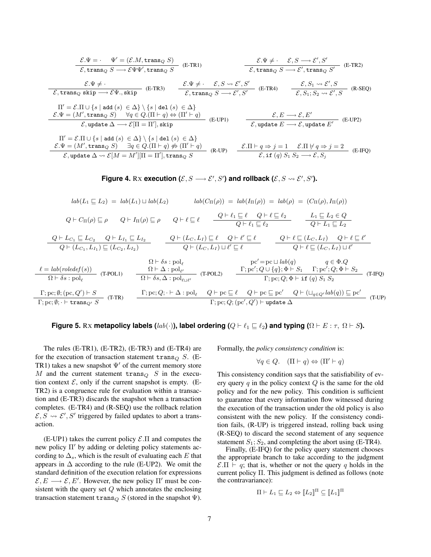$$
\frac{\mathcal{E}.\Psi = \Psi' = (\mathcal{E}.M, \text{trans}_{Q} S)}{\mathcal{E}, \text{trans}_{Q} S \longrightarrow \mathcal{E} \Psi \Psi', \text{trans}_{Q} S} \quad \text{(E-TR1)} \qquad \frac{\mathcal{E}.\Psi \neq \cdot \mathcal{E}, S \longrightarrow \mathcal{E}', S'}{\mathcal{E}, \text{trans}_{Q} S \longrightarrow \mathcal{E}', \text{trans}_{Q} S'} \quad \text{(E-TR2)}
$$
\n
$$
\frac{\mathcal{E}.\Psi \neq \cdot}{\mathcal{E}, \text{trans}_{Q} \text{ skip} \longrightarrow \mathcal{E} \Psi, \text{skip}} \quad \text{(E-TR3)} \qquad \frac{\mathcal{E}.\Psi \neq \cdot \mathcal{E}, S \longrightarrow \mathcal{E}', S'}{\mathcal{E}, \text{trans}_{Q} S \longrightarrow \mathcal{E}', S'} \quad \text{(E-TR4)} \qquad \frac{\mathcal{E}, S_1 \rightarrow \mathcal{E}', S}{\mathcal{E}, S_1; S_2 \rightarrow \mathcal{E}', S} \quad \text{(R-SEQ)}
$$
\n
$$
\Pi' = \mathcal{E}.\Pi \cup \{s \mid \text{add}(s) \in \Delta\} \setminus \{s \mid \text{del}(s) \in \Delta\}
$$
\n
$$
\mathcal{E}.\Psi = (M', \text{trans}_{Q} S) \qquad \forall q \in Q.(\Pi \vdash q) \Leftrightarrow (\Pi' \vdash q) \qquad \text{(E-UP1)} \qquad \frac{\mathcal{E}, E \longrightarrow \mathcal{E}, E'}{\mathcal{E}, \text{update } E \longrightarrow \mathcal{E}, \text{update } E'} \quad \text{(E-UP2)}
$$
\n
$$
\Pi' = \mathcal{E}.\Pi \cup \{s \mid \text{add}(s) \in \Delta\} \setminus \{s \mid \text{del}(s) \in \Delta\}
$$
\n
$$
\frac{\mathcal{E}.\Psi = (M', \text{trans}_{Q} S) \qquad \exists q \in Q.(\Pi \vdash q) \nleftrightarrow (\Pi' \vdash q) \qquad \text{(E-UP1)} \qquad \frac{\mathcal{E}.\Pi \vdash q \Rightarrow j = 1 \qquad \mathcal{E}.\Pi \nleftrightarrow q \Rightarrow j = 2}{\mathcal{E}, \text{update } \Delta \rightsquigarrow \mathcal{E}[M = M'][\Pi = \Pi'], \text{trans}_{Q} S} \qquad
$$

Figure 4. Rx execution  $(\mathcal{E}, S \longrightarrow \mathcal{E}', S')$  and rollback  $(\mathcal{E}, S \leadsto \mathcal{E}', S')$ .

$$
lab(L_1 \sqsubseteq L_2) = lab(L_1) \sqcup lab(L_2) \qquad lab(C_{\Pi}(\rho)) = lab(\Gamma_{\Pi}(\rho)) = lab(\rho) = (C_{\Pi}(\rho), I_{\Pi}(\rho))
$$
  
\n
$$
Q \vdash C_{\Pi}(\rho) \sqsubseteq \rho \qquad Q \vdash I_{\Pi}(\rho) \sqsubseteq \rho \qquad Q \vdash \ell \sqsubseteq \ell \qquad \frac{Q \vdash \ell_1 \sqsubseteq \ell}{Q \vdash \ell_1 \sqsubseteq \ell_2} \qquad \frac{L_1 \sqsubseteq L_2 \in Q}{Q \vdash L_1 \sqsubseteq L_2}
$$
  
\n
$$
\frac{Q \vdash L_{C_1} \sqsubseteq L_{C_2} \qquad Q \vdash L_{I_1} \sqsubseteq L_{I_2}}{Q \vdash (L_{C_1}, L_{I_1}) \sqsubseteq (L_{C_2}, L_{I_2})} \qquad \frac{Q \vdash (L_C, L_I) \sqsubseteq \ell}{Q \vdash (L_C, L_I) \sqcup \ell' \sqsubseteq \ell} \qquad \frac{Q \vdash \ell \sqsubseteq (L_C, L_I) \qquad Q \vdash \ell \sqsubseteq \ell'}{Q \vdash \ell \sqsubseteq (L_C, L_I) \sqcup \ell'}
$$
  
\n
$$
\frac{\Omega \vdash \delta s : \text{pol}_{\ell}}{\Omega \vdash \delta s : \text{pol}_{\ell}} \qquad \frac{\Omega \vdash \Delta : \text{pol}_{\ell'}}{\Omega \vdash \delta s, \Delta : \text{pol}_{\ell \sqcup \ell'}} \qquad \text{(T-POL2)} \qquad \frac{\Gamma; \text{pc}'; Q \cup \{q\}; \Phi \vdash S_1 \qquad \Gamma; \text{pc}'; Q; \Phi \vdash S_2}{\Gamma; \text{pc}; Q; \Phi \vdash \text{if } (q) S_1 S_2} \qquad \text{(T-FQ)}
$$
  
\n
$$
\frac{\Gamma; \text{pc}; \emptyset; (\text{pc}, Q') \vdash S}{\Gamma; \text{pc}; \emptyset; \vdash \text{trans}_{Q'} S} \qquad \text{(T-TR)} \qquad \frac{\Gamma; \text{pc}; Q; \vdash \Delta : \text{pol}_{\ell} \qquad Q \vdash \text{pc} \subseteq \ell \qquad Q \vdash \text{pc} \subseteq \text{pc}'}{\Gamma; \text{pc}; Q; (\text{pc}', Q') \vdash \text{update } \Delta} \
$$

#### **Figure 5.** Rx **metapolicy labels** ( $lab(\cdot)$ ), label ordering ( $Q \vdash \ell_1 \sqsubseteq \ell_2$ ) and typing ( $\Omega \vdash E : \tau$ ,  $\Omega \vdash S$ ).

The rules (E-TR1), (E-TR2), (E-TR3) and (E-TR4) are for the execution of transaction statement trans $_{Q}$  S. (E-TR1) takes a new snapshot  $\Psi'$  of the current memory store M and the current statement  $trans<sub>O</sub>$  S in the execution context  $\mathcal{E}$ , only if the current snapshot is empty. (E-TR2) is a congruence rule for evaluation within a transaction and (E-TR3) discards the snapshot when a transaction completes. (E-TR4) and (R-SEQ) use the rollback relation  $\mathcal{E}, \overline{S} \leadsto \mathcal{E}', \overline{S}'$  triggered by failed updates to abort a transaction.

 $(E-UP1)$  takes the current policy  $\mathcal{E}.\Pi$  and computes the new policy  $\Pi'$  by adding or deleting policy statements according to  $\Delta_s$ , which is the result of evaluating each E that appears in  $\Delta$  according to the rule (E-UP2). We omit the standard definition of the execution relation for expressions  $\mathcal{E}, E \longrightarrow \mathcal{E}, E'$ . However, the new policy  $\Pi'$  must be consistent with the query set  $Q$  which annotates the enclosing transaction statement  $\text{trans}_Q S$  (stored in the snapshot  $\Psi$ ).

Formally, the *policy consistency condition* is:

$$
\forall q \in Q. \quad (\Pi \vdash q) \Leftrightarrow (\Pi' \vdash q)
$$

This consistency condition says that the satisfiability of every query  $q$  in the policy context  $Q$  is the same for the old policy and for the new policy. This condition is sufficient to guarantee that every information flow witnessed during the execution of the transaction under the old policy is also consistent with the new policy. If the consistency condition fails, (R-UP) is triggered instead, rolling back using (R-SEQ) to discard the second statement of any sequence statement  $S_1$ ;  $S_2$ , and completing the abort using (E-TR4).

Finally, (E-IFQ) for the policy query statement chooses the appropriate branch to take according to the judgment  $\mathcal{E}.\Pi \vdash q$ ; that is, whether or not the query q holds in the current policy  $\Pi$ . This judgment is defined as follows (note the contravariance):

$$
\Pi \vdash L_1 \sqsubseteq L_2 \Leftrightarrow \llbracket L_2 \rrbracket^{\Pi} \subseteq \llbracket L_1 \rrbracket^{\Pi}
$$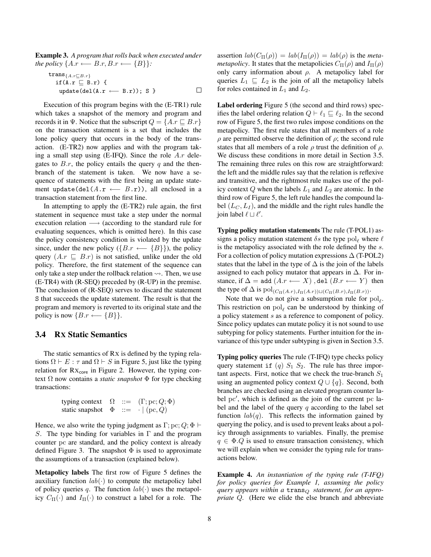Example 3. *A program that rolls back when executed under the policy*  $\{A.r \leftarrow B.r, B.r \leftarrow \{B\}\}$ :

trans
$$
\{A.r \sqsubseteq B.r\}
$$
  
if  $(A.r \sqsubseteq B.r)$  {  
update $(del(A.r \leftarrow B.r))$ ; S }

Execution of this program begins with the (E-TR1) rule which takes a snapshot of the memory and program and records it in Ψ. Notice that the subscript  $Q = \{A.r \sqsubset B.r\}$ on the transaction statement is a set that includes the lone policy query that occurs in the body of the transaction. (E-TR2) now applies and with the program taking a small step using (E-IFQ). Since the role  $A.r$  delegates to  $B.r$ , the policy entails the query q and the thenbranch of the statement is taken. We now have a sequence of statements with the first being an update statement update(del( $A.r \leftarrow B.r$ )), all enclosed in a transaction statement from the first line.

In attempting to apply the (E-TR2) rule again, the first statement in sequence must take a step under the normal execution relation → (according to the standard rule for evaluating sequences, which is omitted here). In this case the policy consistency condition is violated by the update since, under the new policy  $({B.r \leftarrow {B}})$ , the policy query  $(A.r \subseteq B.r)$  is not satisfied, unlike under the old policy. Therefore, the first statement of the sequence can only take a step under the rollback relation  $\rightsquigarrow$ . Then, we use (E-TR4) with (R-SEQ) preceded by (R-UP) in the premise. The conclusion of (R-SEQ) serves to discard the statement S that succeeds the update statement. The result is that the program and memory is reverted to its original state and the policy is now  ${B.r \leftarrow {B}}.$ 

### 3.4 RX Static Semantics

The static semantics of RX is defined by the typing relations  $\Omega \vdash E : \tau$  and  $\Omega \vdash S$  in Figure 5, just like the typing relation for  $Rx_{core}$  in Figure 2. However, the typing context Ω now contains a *static snapshot* Φ for type checking transactions:

$$
\begin{array}{lll}\n\text{typing context} & \Omega & ::= & (\Gamma; \text{pc}; Q; \Phi) \\
\text{static snapshot} & \Phi & ::= & \cdot \mid (\text{pc}, Q)\n\end{array}
$$

Hence, we also write the typing judgment as  $\Gamma$ ; pc;  $Q$ ;  $\Phi \vdash$ S. The type binding for variables in  $\Gamma$  and the program counter pc are standard, and the policy context is already defined Figure 3. The snapshot  $\Phi$  is used to approximate the assumptions of a transaction (explained below).

Metapolicy labels The first row of Figure 5 defines the auxiliary function  $lab(·)$  to compute the metapolicy label of policy queries q. The function  $lab(.)$  uses the metapolicy  $C_{\Pi}(\cdot)$  and  $I_{\Pi}(\cdot)$  to construct a label for a role. The assertion  $lab(C_{\Pi}(\rho)) = lab(I_{\Pi}(\rho)) = lab(\rho)$  is the *metametapolicy*. It states that the metapolicies  $C_{\Pi}(\rho)$  and  $I_{\Pi}(\rho)$ only carry information about  $\rho$ . A metapolicy label for queries  $L_1 \subseteq L_2$  is the join of all the metapolicy labels for roles contained in  $L_1$  and  $L_2$ .

Label ordering Figure 5 (the second and third rows) specifies the label ordering relation  $Q \vdash \ell_1 \sqsubseteq \ell_2$ . In the second row of Figure 5, the first two rules impose conditions on the metapolicy. The first rule states that all members of a role  $\rho$  are permitted observe the definition of  $\rho$ ; the second rule states that all members of a role  $\rho$  trust the definition of  $\rho$ . We discuss these conditions in more detail in Section 3.5. The remaining three rules on this row are straightforward: the left and the middle rules say that the relation is reflexive and transitive, and the rightmost rule makes use of the policy context  $Q$  when the labels  $L_1$  and  $L_2$  are atomic. In the third row of Figure 5, the left rule handles the compound label  $(L_C, L_I)$ , and the middle and the right rules handle the join label  $\ell \sqcup \ell'$ .

Typing policy mutation statements The rule (T-POL1) assigns a policy mutation statement  $\delta s$  the type pol<sub> $\ell$ </sub> where  $\ell$ is the metapolicy associated with the role defined by the s. For a collection of policy mutation expressions  $\Delta$  (T-POL2) states that the label in the type of  $\Delta$  is the join of the labels assigned to each policy mutator that appears in  $\Delta$ . For instance, if  $\Delta =$  add  $(A.r \leftarrow X)$ , del  $(B.r \leftarrow Y)$  then the type of  $\Delta$  is  $pol_{(C_{\Pi}(A.r),I_{\Pi}(A.r))\sqcup(C_{\Pi}(B.r),I_{\Pi}(B.r))}$ .

Note that we do not give a subsumption rule for  $pol_{\ell}$ . This restriction on  $pol_\ell$  can be understood by thinking of a policy statement s as a reference to component of policy. Since policy updates can mutate policy it is not sound to use subtyping for policy statements. Further intuition for the invariance of this type under subtyping is given in Section 3.5.

Typing policy queries The rule (T-IFQ) type checks policy query statement if (q)  $S_1$   $S_2$ . The rule has three important aspects. First, notice that we check the true-branch  $S_1$ using an augmented policy context  $Q \cup \{q\}$ . Second, both branches are checked using an elevated program counter label pc', which is defined as the join of the current pc label and the label of the query  $q$  according to the label set function  $lab(q)$ . This reflects the information gained by querying the policy, and is used to prevent leaks about a policy through assignments to variables. Finally, the premise  $q \in \Phi.Q$  is used to ensure transaction consistency, which we will explain when we consider the typing rule for transactions below.

Example 4. *An instantiation of the typing rule (T-IFQ) for policy queries for Example 1, assuming the policy query appears within a* trans<sup>Q</sup> s*tatement, for an appropriate* Q*.* (Here we elide the else branch and abbreviate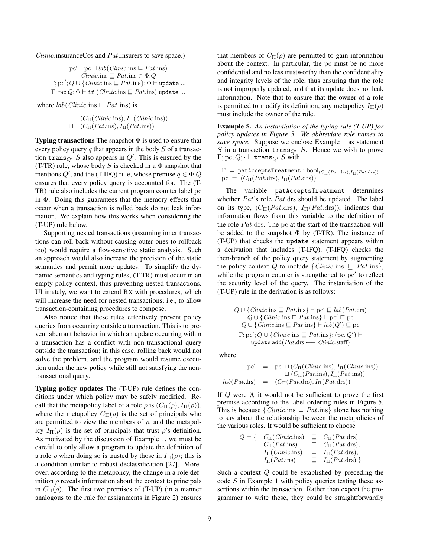*Clinic.* insurance Cos and  $Pat$ . insurers to save space.)

$$
pc' = pc \sqcup lab(Clinic.ins \sqsubseteq Pat.ins)
$$
  
\n
$$
Clinic.ins \sqsubseteq Pat.ins \in \Phi.Q
$$
  
\n
$$
\Gamma; pc'; Q \cup \{Clinic.ins \sqsubseteq Pat.ins\}; \Phi \vdash update ...
$$
  
\n
$$
\Gamma; pc; Q; \Phi \vdash if (Clinic.ins \sqsubseteq Pat.ins) update ...
$$

where  $lab(Clinic.ins \sqsubseteq Pat.ins)$  is

$$
(C_{\Pi}(Clinic.ins), I_{\Pi}(Clinic.ins))
$$
  

$$
\sqcup \quad (C_{\Pi}(Pat.ins), I_{\Pi}(Pat.ins)) \qquad \qquad \square
$$

**Typing transactions** The snapshot  $\Phi$  is used to ensure that every policy query q that appears in the body  $S$  of a transaction  $\text{trans}_{Q'} S$  also appears in  $Q'$ . This is ensured by the (T-TR) rule, whose body S is checked in a  $\Phi$  snapshot that mentions  $Q'$ , and the (T-IFQ) rule, whose premise  $q \in \Phi. Q$ ensures that every policy query is accounted for. The (T-TR) rule also includes the current program counter label pc in Φ. Doing this guarantees that the memory effects that occur when a transaction is rolled back do not leak information. We explain how this works when considering the (T-UP) rule below.

Supporting nested transactions (assuming inner transactions can roll back without causing outer ones to rollback too) would require a flow-sensitive static analysis. Such an approach would also increase the precision of the static semantics and permit more updates. To simplify the dynamic semantics and typing rules, (T-TR) must occur in an empty policy context, thus preventing nested transactions. Ultimately, we want to extend RX with procedures, which will increase the need for nested transactions; i.e., to allow transaction-containing procedures to compose.

Also notice that these rules effectively prevent policy queries from occurring outside a transaction. This is to prevent aberrant behavior in which an update occurring within a transaction has a conflict with non-transactional query outside the transaction; in this case, rolling back would not solve the problem, and the program would resume execution under the new policy while still not satisfying the nontransactional query.

Typing policy updates The (T-UP) rule defines the conditions under which policy may be safely modified. Recall that the metapolicy label of a role  $\rho$  is  $(C_{\Pi}(\rho), I_{\Pi}(\rho)),$ where the metapolicy  $C_{\Pi}(\rho)$  is the set of principals who are permitted to view the members of  $\rho$ , and the metapolicy  $I_{\Pi}(\rho)$  is the set of principals that trust  $\rho$ 's definition. As motivated by the discussion of Example 1, we must be careful to only allow a program to update the definition of a role  $\rho$  when doing so is trusted by those in  $I_{\Pi}(\rho)$ ; this is a condition similar to robust declassification [27]. Moreover, according to the metapolicy, the change in a role definition  $\rho$  reveals information about the context to principals in  $C_{\Pi}(\rho)$ . The first two premises of (T-UP) (in a manner analogous to the rule for assignments in Figure 2) ensures

that members of  $C_{\Pi}(\rho)$  are permitted to gain information about the context. In particular, the pc must be no more confidential and no less trustworthy than the confidentiality and integrity levels of the role, thus ensuring that the role is not improperly updated, and that its update does not leak information. Note that to ensure that the owner of a role is permitted to modify its definition, any metapolicy  $I_{\Pi}(\rho)$ must include the owner of the role.

Example 5. *An instantiation of the typing rule (T-UP) for policy updates in Figure 5. We abbreviate role names to save space.* Suppose we enclose Example 1 as statement S in a transaction  $\text{trans}_{Q'}$  S. Hence we wish to prove  $\Gamma; \mathrm{pc}; Q; \cdot \vdash \mathsf{trans}_{Q'} S$  with

 $\Gamma = \texttt{pathCceptsTreatment}: \text{bool}_{(C_{\Pi}(Pat.\text{drs}), I_{\Pi}(Pat.\text{drs}))}$  $pc = (C_{\Pi}(Pat.drs), I_{\Pi}(Pat.drs))$ 

The variable patAcceptsTreatment determines whether Pat's role Pat.drs should be updated. The label on its type,  $(C_{\Pi}(Pat \cdot \text{drs}), I_{\Pi}(Pat \cdot \text{drs}))$ , indicates that information flows from this variable to the definition of the role Pat.drs. The pc at the start of the transaction will be added to the snapshot  $\Phi$  by (T-TR). The instance of (T-UP) that checks the update statement appears within a derivation that includes (T-IFQ). (T-IFQ) checks the then-branch of the policy query statement by augmenting the policy context Q to include  $\{Clinic.\text{ins } \sqsubseteq Pat.\text{ins}\},\$ while the program counter is strengthened to  $pc'$  to reflect the security level of the query. The instantiation of the (T-UP) rule in the derivation is as follows:

$$
Q \cup \{ \text{Clinic}.\text{ins} \sqsubseteq \text{Pat}.\text{ins} \} \vdash \text{pc'} \sqsubseteq lab(\text{Pat}.\text{drs})
$$
  
\n
$$
Q \cup \{ \text{Clinci}.\text{ins} \sqsubseteq \text{Pat}.\text{ins} \} \vdash \text{pc'} \sqsubseteq \text{pc}
$$
  
\n
$$
Q \cup \{ \text{Clinci}.\text{ins} \sqsubseteq \text{Pat}.\text{ins} \} \vdash lab(Q') \sqsubseteq \text{pc}
$$
  
\n
$$
\Gamma; \text{pc'}; Q \cup \{ \text{Clinci}.\text{ins} \sqsubseteq \text{Pat}.\text{ins} \}; (\text{pc}, Q') \vdash
$$
  
\nupdate add( $\text{Pat}.\text{drs} \longleftarrow \text{Clinci}.\text{staff})$ 

where

$$
pc' = pc \cup (C_{\Pi}(Clinic.ins), I_{\Pi}(Clinic.ins))
$$
  

$$
\cup (C_{\Pi}(Pat.ins), I_{\Pi}(Pat.ins))
$$
  

$$
lab(Pat.drs) = (C_{\Pi}(Pat.drs), I_{\Pi}(Pat.drs))
$$

If  $Q$  were  $\emptyset$ , it would not be sufficient to prove the first premise according to the label ordering rules in Figure 5. This is because  $\{Clinic.\text{ins} \sqsubseteq Pat.\text{ins}\}\$  alone has nothing to say about the relationship between the metapolicies of the various roles. It would be sufficient to choose

$$
Q = \{ \begin{array}{rcl} C_{\Pi}(Clinic.ins) & \sqsubseteq & C_{\Pi}(Pat.drs), \\ C_{\Pi}(Pat.ins) & \sqsubseteq & C_{\Pi}(Pat.drs), \\ I_{\Pi}(Clinic.ins) & \sqsubseteq & I_{\Pi}(Pat.drs), \\ I_{\Pi}(Pat.ins) & \sqsubseteq & I_{\Pi}(Pat.drs) \end{array} \}
$$

Such a context Q could be established by preceding the code  $S$  in Example 1 with policy queries testing these assertions within the transaction. Rather than expect the programmer to write these, they could be straightforwardly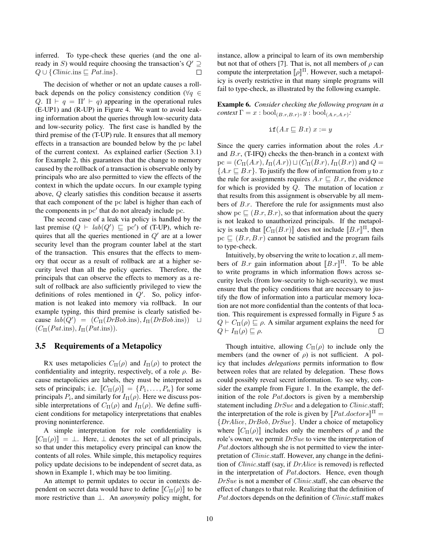inferred. To type-check these queries (and the one already in S) would require choosing the transaction's  $Q' \supseteq$  $Q \cup \{Clinic.\text{ins} \sqsubseteq Pat.\text{ins}\}.$  $\Box$ 

The decision of whether or not an update causes a rollback depends on the policy consistency condition ( $\forall q \in$ Q.  $\Pi \vdash q = \Pi' \vdash q$  appearing in the operational rules (E-UP1) and (R-UP) in Figure 4. We want to avoid leaking information about the queries through low-security data and low-security policy. The first case is handled by the third premise of the (T-UP) rule. It ensures that all memory effects in a transaction are bounded below by the pc label of the current context. As explained earlier (Section 3.1) for Example 2, this guarantees that the change to memory caused by the rollback of a transaction is observable only by principals who are also permitted to view the effects of the context in which the update occurs. In our example typing above, Q clearly satisfies this condition because it asserts that each component of the pc label is higher than each of the components in  $pc'$  that do not already include pc.

The second case of a leak via policy is handled by the last premise  $(Q \vdash lab(Q') \sqsubseteq pc')$  of (T-UP), which requires that all the queries mentioned in  $Q'$  are at a lower security level than the program counter label at the start of the transaction. This ensures that the effects to memory that occur as a result of rollback are at a higher security level than all the policy queries. Therefore, the principals that can observe the effects to memory as a result of rollback are also sufficiently privileged to view the definitions of roles mentioned in  $Q'$ . So, policy information is not leaked into memory via rollback. In our example typing, this third premise is clearly satisfied because  $lab(Q') = (C_{\Pi}(DrBob.\text{ins}), I_{\Pi}(DrBob.\text{ins})) \quad \Box$  $(C_{\Pi}(Pat.\text{ins}), I_{\Pi}(Pat.\text{ins})).$ 

### 3.5 Requirements of a Metapolicy

RX uses metapolicies  $C_{\Pi}(\rho)$  and  $I_{\Pi}(\rho)$  to protect the confidentiality and integrity, respectively, of a role  $\rho$ . Because metapolicies are labels, they must be interpreted as sets of principals; i.e.  $[\![C_{\Pi}(\rho)]\!] = \{P_1, \ldots, P_n\}$  for some principals  $P_i$ , and similarly for  $I_{\Pi}(\rho)$ . Here we discuss possible interpretations of  $C_{\Pi}(\rho)$  and  $I_{\Pi}(\rho)$ . We define sufficient conditions for metapolicy interpretations that enables proving noninterference.

A simple interpretation for role confidentiality is  $[[C_{\Pi}(\rho)]] = \perp$ . Here,  $\perp$  denotes the set of all principals, so that under this metapolicy every principal can know the contents of all roles. While simple, this metapolicy requires policy update decisions to be independent of secret data, as shown in Example 1, which may be too limiting.

An attempt to permit updates to occur in contexts dependent on secret data would have to define  $\llbracket C_{\Pi}(\rho) \rrbracket$  to be more restrictive than ⊥. An *anonymity* policy might, for instance, allow a principal to learn of its own membership but not that of others [7]. That is, not all members of  $\rho$  can compute the interpretation  $[\![\rho]\!]^\Pi$ . However, such a metapolicy is overly restrictive in that many simple programs will fail to type-check, as illustrated by the following example.

Example 6. *Consider checking the following program in a*  $context \Gamma = x : \text{bool}_{(B.r,B.r)}, y : \text{bool}_{(A.r,A.r)}$ :

$$
\texttt{if}(A.\text{r} \sqsubseteq B.\text{r}) \ x := y
$$

Since the query carries information about the roles A.r and  $B.r$ , (T-IFQ) checks the then-branch in a context with  $pc = (C_{\Pi}(A.r), I_{\Pi}(A.r)) \sqcup (C_{\Pi}(B.r), I_{\Pi}(B.r))$  and  $Q =$  ${A.r \sqsubseteq B.r}.$  To justify the flow of information from y to x the rule for assignments requires  $A.r \sqsubseteq B.r$ , the evidence for which is provided by  $Q$ . The mutation of location x that results from this assignment is observable by all members of B.r. Therefore the rule for assignments must also show pc  $\subseteq (B.r, B.r)$ , so that information about the query is not leaked to unauthorized principals. If the metapolicy is such that  $[[C_{\Pi}(B.r)]]$  does not include  $[[B.r]]^{\Pi}$ , then  $pc \sqsubseteq (B.r, B.r)$  cannot be satisfied and the program fails to type-check.

Intuitively, by observing the write to location  $x$ , all members of B.r gain information about  $[[B,r]]^{\Pi}$ . To be able to write programs in which information flows across security levels (from low-security to high-security), we must ensure that the policy conditions that are necessary to justify the flow of information into a particular memory location are not more confidential than the contents of that location. This requirement is expressed formally in Figure 5 as  $Q \vdash C_{\Pi}(\rho) \sqsubseteq \rho$ . A similar argument explains the need for  $Q \vdash I_{\Pi}(\rho) \sqsubseteq \rho.$ □

Though intuitive, allowing  $C_{\Pi}(\rho)$  to include only the members (and the owner of  $\rho$ ) is not sufficient. A policy that includes *delegations* permits information to flow between roles that are related by delegation. These flows could possibly reveal secret information. To see why, consider the example from Figure 1. In the example, the definition of the role  $Pat$  doctors is given by a membership statement including  $DrSue$  and a delegation to *Clinic*.staff; the interpretation of the role is given by  $[Pat.doctors]$ <sup> $\Pi$ </sup> = {DrAlice, DrBob, DrSue}. Under a choice of metapolicy where  $\llbracket C_{\Pi}(\rho) \rrbracket$  includes only the members of  $\rho$  and the role's owner, we permit  $DrSue$  to view the interpretation of Pat.doctors although she is not permitted to view the interpretation of Clinic.staff. However, any change in the definition of Clinic.staff (say, if DrAlice is removed) is reflected in the interpretation of Pat.doctors. Hence, even though DrSue is not a member of Clinic.staff, she can observe the effect of changes to that role. Realizing that the definition of Pat.doctors depends on the definition of *Clinic*.staff makes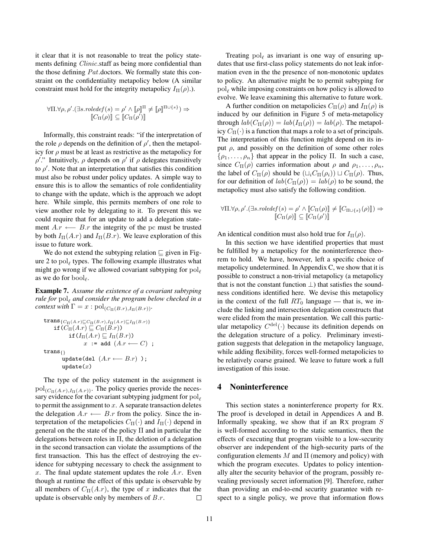it clear that it is not reasonable to treat the policy statements defining *Clinic*.staff as being more confidential than the those defining Pat.doctors. We formally state this constraint on the confidentiality metapolicy below (A similar constraint must hold for the integrity metapolicy  $I_{\Pi}(\rho)$ .).

$$
\forall \Pi. \forall \rho, \rho'.(\exists s. \text{roledef}(s) = \rho' \land [\![\rho]\!]^\Pi \neq [\![\rho]\!]^{\Pi \cup \{s\}}) \Rightarrow
$$
  

$$
[\![C_{\Pi}(\rho)]\!] \subseteq [\![C_{\Pi}(\rho')]\!]
$$

Informally, this constraint reads: "if the interpretation of the role  $\rho$  depends on the definition of  $\rho'$ , then the metapolicy for  $\rho$  must be at least as restrictive as the metapolicy for  $ρ'$ ." Intuitively,  $ρ$  depends on  $ρ'$  if  $ρ$  delegates transitively to  $\rho'$ . Note that an interpretation that satisfies this condition must also be robust under policy updates. A simple way to ensure this is to allow the semantics of role confidentiality to change with the update, which is the approach we adopt here. While simple, this permits members of one role to view another role by delegating to it. To prevent this we could require that for an update to add a delegation statement  $A.r \leftarrow B.r$  the integrity of the pc must be trusted by both  $I_{\Pi}(A.r)$  and  $I_{\Pi}(B.r)$ . We leave exploration of this issue to future work.

We do not extend the subtyping relation  $\sqsubseteq$  given in Figure 2 to  $pol_{\ell}$  types. The following example illustrates what might go wrong if we allowed covariant subtyping for  $pol_{\ell}$ as we do for  $\text{bool}_\ell$ .

Example 7. *Assume the existence of a covariant subtyping rule for*  $\text{pol}_\ell$  *and consider the program below checked in a context with*  $\Gamma = x : \text{pol}_{(C_{\Pi}(B.r), I_{\Pi}(B.r))}$ .

$$
\begin{array}{rl}\texttt{trans}_{\{C_{\Pi}(A.r)\sqsubseteq C_{\Pi}(B.r), I_{\Pi}(A.r)\sqsubseteq I_{\Pi}(B.r)\}}\\ \texttt{if}(C_{\Pi}(A.r)\sqsubseteq C_{\Pi}(B.r))\\ \texttt{if}(I_{\Pi}(A.r)\sqsubseteq I_{\Pi}(B.r))\\ & \hspace{1.5em} x\ :=\ \texttt{add}\ (A.r\ \leftarrow\ C)\ ;\\ \texttt{trans}_{\{\}}\\ \texttt{update}(\texttt{del}\ (A.r\ \leftarrow\ B.r)\ )\ ;\\ \texttt{update}(x)\end{array}
$$

The type of the policy statement in the assignment is  $pol_{(C_{\Pi}(A.r),I_{\Pi}(A.r))}$ . The policy queries provide the necessary evidence for the covariant subtyping judgment for  $pol<sub>\ell</sub>$ to permit the assignment to  $x$ . A separate transaction deletes the delegation  $A.r \leftarrow B.r$  from the policy. Since the interpretation of the metapolicies  $C_{\Pi}(\cdot)$  and  $I_{\Pi}(\cdot)$  depend in general on the the state of the policy  $\Pi$  and in particular the delegations between roles in  $\Pi$ , the deletion of a delegation in the second transaction can violate the assumptions of the first transaction. This has the effect of destroying the evidence for subtyping necessary to check the assignment to  $x$ . The final update statement updates the role  $A.r$ . Even though at runtime the effect of this update is observable by all members of  $C_{\Pi}(A.r)$ , the type of x indicates that the update is observable only by members of  $B.r.$  $\Box$ 

Treating  $pol_{\ell}$  as invariant is one way of ensuring updates that use first-class policy statements do not leak information even in the the presence of non-monotonic updates to policy. An alternative might be to permit subtyping for  $pol<sub>e</sub>$  while imposing constraints on how policy is allowed to evolve. We leave examining this alternative to future work.

A further condition on metapolicies  $C_{\Pi}(\rho)$  and  $I_{\Pi}(\rho)$  is induced by our definition in Figure 5 of meta-metapolicy through  $lab(C_{\Pi}(\rho)) = lab(I_{\Pi}(\rho)) = lab(\rho)$ . The metapolicy  $C_{\Pi}(\cdot)$  is a function that maps a role to a set of principals. The interpretation of this function might depend on its input  $\rho$ , and possibly on the definition of some other roles  $\{\rho_1, \ldots, \rho_n\}$  that appear in the policy Π. In such a case, since  $C_{\Pi}(\rho)$  carries information about  $\rho$  and  $\rho_1, \ldots, \rho_n$ , the label of  $C_{\Pi}(\rho)$  should be  $(L_i C_{\Pi}(\rho_i)) \sqcup C_{\Pi}(\rho)$ . Thus, for our definition of  $lab(C_{\Pi}(\rho)) = lab(\rho)$  to be sound, the metapolicy must also satisfy the following condition.

$$
\forall \Pi. \forall \rho, \rho'.(\exists s. \text{roledef}(s) = \rho' \land \llbracket C_{\Pi}(\rho) \rrbracket \neq \llbracket C_{\Pi \cup \{s\}}(\rho) \rrbracket) \Rightarrow \llbracket C_{\Pi}(\rho) \rrbracket \subseteq \llbracket C_{\Pi}(\rho') \rrbracket
$$

An identical condition must also hold true for  $I_{\Pi}(\rho)$ .

In this section we have identified properties that must be fulfilled by a metapolicy for the noninterference theorem to hold. We have, however, left a specific choice of metapolicy undetermined. In Appendix C, we show that it is possible to construct a non-trivial metapolicy (a metapolicy that is not the constant function  $\perp$ ) that satisfies the soundness conditions identified here. We devise this metapolicy in the context of the full  $RT_0$  language — that is, we include the linking and intersection delegation constructs that were elided from the main presentation. We call this particular metapolicy  $C^{\text{del}}(\cdot)$  because its definition depends on the delegation structure of a policy. Preliminary investigation suggests that delegation in the metapolicy language, while adding flexibility, forces well-formed metapolicies to be relatively coarse grained. We leave to future work a full investigation of this issue.

## 4 Noninterference

This section states a noninterference property for RX. The proof is developed in detail in Appendices A and B. Informally speaking, we show that if an RX program  $S$ is well-formed according to the static semantics, then the effects of executing that program visible to a low-security observer are independent of the high-security parts of the configuration elements  $M$  and  $\Pi$  (memory and policy) with which the program executes. Updates to policy intentionally alter the security behavior of the program, possibly revealing previously secret information [9]. Therefore, rather than providing an end-to-end security guarantee with respect to a single policy, we prove that information flows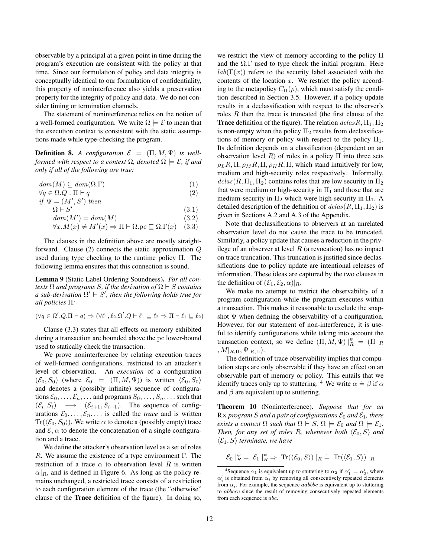observable by a principal at a given point in time during the program's execution are consistent with the policy at that time. Since our formulation of policy and data integrity is conceptually identical to our formulation of confidentiality, this property of noninterference also yields a preservation property for the integrity of policy and data. We do not consider timing or termination channels.

The statement of noninterference relies on the notion of a well-formed configuration. We write  $\Omega \models \mathcal{E}$  to mean that the execution context is consistent with the static assumptions made while type-checking the program.

**Definition 8.** *A configuration*  $\mathcal{E} = (\Pi, M, \Psi)$  *is wellformed with respect to a context*  $\Omega$ *, denoted*  $\Omega \models \mathcal{E}$ *, if and only if all of the following are true:*

$$
dom(M) \subseteq dom(\Omega.\Gamma) \tag{1}
$$

 $\forall q \in \Omega. Q \cdot \Pi \vdash q$  (2) if  $\Psi = (M', S')$  then

 $\Omega \vdash S'$ 

 $dom(M') = dom(M)$  (3.2)

 $\forall x.M(x) \neq M'(x) \Rightarrow \Pi \vdash \Omega.\text{pc} \sqsubseteq \Omega.\Gamma(x)$  (3.3)

(3.1)

The clauses in the definition above are mostly straightforward. Clause (2) connects the static approximation Q used during type checking to the runtime policy Π. The following lemma ensures that this connection is sound.

Lemma 9 (Static Label Ordering Soundness). *For all contexts*  $\Omega$  *and programs S, if the derivation of*  $\Omega \vdash S$  *contains a sub-derivation*  $\Omega' \vdash S'$ , then the following holds true for *all policies* Π*:*

$$
(\forall q \in \Omega'. Q.\Pi \vdash q) \Rightarrow (\forall \ell_1, \ell_2.\Omega'. Q \vdash \ell_1 \sqsubseteq \ell_2 \Rightarrow \Pi \vdash \ell_1 \sqsubseteq \ell_2)
$$

Clause (3.3) states that all effects on memory exhibited during a transaction are bounded above the pc lower-bound used to statically check the transaction.

We prove noninterference by relating execution traces of well-formed configurations, restricted to an attacker's level of observation. An *execution* of a configuration  $(\mathcal{E}_0, S_0)$  (where  $\mathcal{E}_0 = (\Pi, M, \Psi)$ ) is written  $\langle \mathcal{E}_0, S_0 \rangle$ and denotes a (possibly infinite) sequence of configurations  $\mathcal{E}_0, \ldots, \mathcal{E}_n, \ldots$  and programs  $S_0, \ldots, S_n, \ldots$  such that  $(\mathcal{E}_i, S_i) \longrightarrow (\mathcal{E}_{i+1}, S_{i+1})$ . The sequence of configurations  $\mathcal{E}_0, \ldots, \mathcal{E}_n, \ldots$  is called the *trace* and is written  $\text{Tr}(\langle \mathcal{E}_0, S_0 \rangle)$ . We write  $\alpha$  to denote a (possibly empty) trace and  $\mathcal{E}, \alpha$  to denote the concatenation of a single configuration and a trace.

We define the attacker's observation level as a set of roles R. We assume the existence of a type environment  $\Gamma$ . The restriction of a trace  $\alpha$  to observation level R is written  $\alpha|_R$ , and is defined in Figure 6. As long as the policy remains unchanged, a restricted trace consists of a restriction to each configuration element of the trace (the "otherwise" clause of the Trace definition of the figure). In doing so, we restrict the view of memory according to the policy Π and the  $\Omega.\Gamma$  used to type check the initial program. Here  $lab(\Gamma(x))$  refers to the security label associated with the contents of the location  $x$ . We restrict the policy according to the metapolicy  $C_{\Pi}(\rho)$ , which must satisfy the condition described in Section 3.5. However, if a policy update results in a declassification with respect to the observer's roles R then the trace is truncated (the first clause of the **Trace** definition of the figure). The relation  $dclasR, \Pi_1, \Pi_2$ is non-empty when the policy  $\Pi_2$  results from declassifications of memory or policy with respect to the policy  $\Pi_1$ . Its definition depends on a classification (dependent on an observation level R) of roles in a policy  $\Pi$  into three sets  $\rho_L R$ ,  $\Pi$ ,  $\rho_M R$ ,  $\Pi$ ,  $\rho_H R$ ,  $\Pi$ , which stand intuitively for low, medium and high-security roles respectively. Informally,  $dclas(R, \Pi_1, \Pi_2)$  contains roles that are low security in  $\Pi_2$ that were medium or high-security in  $\Pi_1$  and those that are medium-security in  $\Pi_2$  which were high-security in  $\Pi_1$ . A detailed description of the definition of  $dclas(R, \Pi_1, \Pi_2)$  is given in Sections A.2 and A.3 of the Appendix.

Note that declassifications to observers at an unrelated observation level do not cause the trace to be truncated. Similarly, a policy update that causes a reduction in the privilege of an observer at level  $R$  (a revocation) has no impact on trace truncation. This truncation is justified since declassifications due to policy update are intentional releases of information. These ideas are captured by the two clauses in the definition of  $(\mathcal{E}_1, \mathcal{E}_2, \alpha)|_R$ .

We make no attempt to restrict the observability of a program configuration while the program executes within a transaction. This makes it reasonable to exclude the snapshot  $\Psi$  when defining the observability of a configuration. However, for our statement of non-interference, it is useful to identify configurations while taking into account the transaction context, so we define  $(\Pi, M, \Psi)|_R^{\psi} = (\Pi|_R)$  $, M|_{R,\Pi}, \Psi|_{R,\Pi}$ ).

The definition of trace observability implies that computation steps are only observable if they have an effect on an observable part of memory or policy. This entails that we identify traces only up to stuttering. <sup>4</sup> We write  $\alpha = \beta$  if  $\alpha$ and  $\beta$  are equivalent up to stuttering.

Theorem 10 (Noninterference). *Suppose that for an* RX *program* S and a pair of configurations  $\mathcal{E}_0$  and  $\mathcal{E}_1$ , there *exists a context*  $\Omega$  *such that*  $\Omega \vdash S$ ,  $\Omega \models \mathcal{E}_0$  *and*  $\Omega \models \mathcal{E}_1$ *. Then, for any set of roles R, whenever both*  $\langle \mathcal{E}_0, S \rangle$  *and*  $\langle \mathcal{E}_1, S \rangle$  *terminate, we have* 

$$
\mathcal{E}_0 \mid_R^{\psi} = \mathcal{E}_1 \mid_R^{\psi} \Rightarrow \text{Tr}(\langle \mathcal{E}_0, S \rangle) \mid_R \dot{=} \text{Tr}(\langle \mathcal{E}_1, S \rangle) \mid_R
$$

<sup>&</sup>lt;sup>4</sup>Sequence  $\alpha_1$  is equivalent up to stuttering to  $\alpha_2$  if  $\alpha'_1 = \alpha'_2$ , where  $\alpha'_{i}$  is obtained from  $\alpha_{i}$  by removing all consecutively repeated elements from  $\alpha_i$ . For example, the sequence *aabbbc* is equivalent up to stuttering to abbccc since the result of removing consecutively repeated elements from each sequence is abc.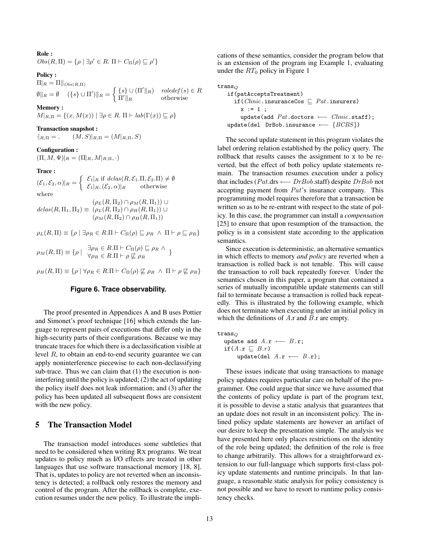Role :

 $Obs(R,\Pi) = \{\rho \mid \exists \rho' \in R. \Pi \vdash C_{\Pi}(\rho) \sqsubseteq \rho'\}\$ 

#### Policy :

 $\Pi$ <sub>R</sub> =  $\Pi$ <sup>|</sup>|  $\log$ <sub>(R,Π)</sub>  $\emptyset \|_{R} = \emptyset \quad (\{s\} \cup \Pi') \|_{R} = \begin{cases} \{s\} \cup (\Pi' \|_{R}) & \text{roledef}(s) \in R \\ \Pi' & \text{otherwise} \end{cases}$  $\Pi'\|_{R}$  otherwise

#### Memory :

 $M|_{R,\Pi} = \{(x, M(x)) \mid \exists \rho \in R \colon \Pi \vdash lab(\Gamma(x)) \sqsubseteq \rho\}$ 

## Transaction snapshot :

 $\cdot|_{R,\Pi} =$ .  $(M, S)|_{R,\Pi} = (M|_{R,\Pi}, S)$ 

#### Configuration :

 $(\Pi, M, \Psi)|_R = (\Pi|_R, M|_{R,\Pi}, \cdot)$ 

#### Trace :

$$
(\mathcal{E}_1, \mathcal{E}_2, \alpha)|_R = \begin{cases} \mathcal{E}_1|_R \text{ if } \text{dclas}(R, \mathcal{E}_1. \Pi, \mathcal{E}_2. \Pi) \neq \emptyset \\ \mathcal{E}_1|_R, (\mathcal{E}_2, \alpha)|_R \end{cases}
$$
 otherwise where

 $dclas(R, \Pi_1, \Pi_2) \equiv (\rho_L(R, \Pi_2) \cap \rho_H(R, \Pi_1)) \cup$  $(\rho_L(R,\Pi_2)\cap \rho_M(R,\Pi_1))\cup$  $(\rho_M(R,\Pi_2)\cap\rho_H(R,\Pi_1))$ 

$$
\rho_L(R,\Pi) \equiv \{ \rho \mid \exists \rho_R \in R.\Pi \vdash C_{\Pi}(\rho) \sqsubseteq \rho_R \ \land \ \Pi \vdash \rho \sqsubseteq \rho_R \}
$$

$$
\rho_M(R,\Pi) \equiv \{ \rho \mid \ \exists \rho_R \in R.\Pi \vdash C_{\Pi}(\rho) \sqsubseteq \rho_R \land \}
$$

$$
\forall \rho_R \in R.\Pi \vdash \rho \not\sqsubseteq \rho_R
$$

 $\rho_H(R,\Pi) \equiv \{ \rho \mid \forall \rho_R \in R.\Pi \vdash C_{\Pi}(\rho) \not\sqsubseteq \rho_R \land \Pi \vdash \rho \not\sqsubseteq \rho_R \}$ 

#### **Figure 6. Trace observability.**

The proof presented in Appendices A and B uses Pottier and Simonet's proof technique [16] which extends the language to represent pairs of executions that differ only in the high-security parts of their configurations. Because we may truncate traces for which there is a declassification visible at level R, to obtain an end-to-end security guarantee we can apply noninterference piecewise to each non-declassifying sub-trace. Thus we can claim that (1) the execution is noninterfering until the policy is updated; (2) the act of updating the policy itself does not leak information; and (3) after the policy has been updated all subsequent flows are consistent with the new policy.

## 5 The Transaction Model

The transaction model introduces some subtleties that need to be considered when writing RX programs. We treat updates to policy much as I/O effects are treated in other languages that use software transactional memory [18, 8]. That is, updates to policy are not reverted when an inconsistency is detected; a rollback only restores the memory and control of the program. After the rollback is complete, execution resumes under the new policy. To illustrate the implications of these semantics, consider the program below that is an extension of the program ing Example 1, evaluating under the  $RT_0$  policy in Figure 1

```
\n
$$
\text{trans}_Q\n \text{if}(\text{patAcceptsTreatment})\n \text{if}(Clinic.insuranceCos \sqsubseteq Pat.insurers)\n \quad x := 1 ;\n \quad \text{update}(\text{add Pat.doctors} \longleftarrow Clinic.start);\n \quad \text{update}(\text{del DrBob.insurance} \longleftarrow \{BCBS\})\n \text{if}(\text{add for} \sqsubseteq \text{true})\n \text{if}(\text{add for} \sqsubseteq \text{true})\n \text{if}(\text{add for} \sqsubseteq \text{true})\n \text{if}(\text{add for} \sqsubseteq \text{true})\n \text{if}(\text{add for} \sqsubseteq \text{true})\n \text{if}(\text{add for} \sqsubseteq \text{true})\n \text{if}(\text{add for} \sqsubseteq \text{true})\n \text{if}(\text{add for} \sqsubseteq \text{true})\n \text{if}(\text{add for} \sqsubseteq \text{true})\n \text{if}(\text{add for} \sqsubseteq \text{true})\n \text{if}(\text{add for} \sqsubseteq \text{true})\n \text{if}(\text{add for} \sqsubseteq \text{true})\n \text{if}(\text{add for} \sqsubseteq \text{true})\n \text{if}(\text{add for} \sqsubseteq \text{true})\n \text{if}(\text{add for} \sqsubseteq \text{true})\n \text{if}(\text{add for} \sqsubseteq \text{true})\n \text{if}(\text{add for} \sqsubseteq \text{true})\n \text{if}(\text{add for} \sqsubseteq \text{true})\n \text{if}(\text{add for} \sqsubseteq \text{true})\n \text{if}(\text{add for} \sqsubseteq \text{true})\n \text{if}(\text{add for} \sqsubseteq \text{true})\n \text{if}(\text{add for} \sqsubseteq \text{true})\n \text{if}(\text{add for} \sqsubseteq \text{true})\n \text{if}(\text{add for} \sqsubseteq \text{true})\n \text{if}(\text{add for} \sqsubseteq \text{true})\n \text{if}(\text{add for} \sqsubseteq \text{true})\n \text{if}(\text{add for} \sqsubseteq \text{true})\n \text{if}(\text{add for} \sqsubseteq \text{true})\n \text{if}(\text{add for} \sqsubseteq \text{true})\n \text{if}(\text{add for} \sqsubseteq \text{true})\n \text{if}(\text{add for} \sqsubseteq \text{true})\n \
$$

```

The second update statement in this program violates the label ordering relation established by the policy query. The rollback that results causes the assignment to x to be reverted, but the effect of both policy update statements remain. The transaction resumes execution under a policy that includes (Pat.drs ←− DrBob.staff) despite DrBob not accepting payment from Pat's insurance company. This programming model requires therefore that a transaction be written so as to be re-entrant with respect to the state of policy. In this case, the programmer can install a *compensation* [25] to ensure that upon resumption of the transaction, the policy is in a consistent state according to the application semantics.

Since execution is deterministic, an alternative semantics in which effects to memory *and policy* are reverted when a transaction is rolled back is not tenable. This will cause the transaction to roll back repeatedly forever. Under the semantics chosen in this paper, a program that contained a series of mutually incompatible update statements can still fail to terminate because a transaction is rolled back repeatedly. This is illustrated by the following example, which does not terminate when executing under an initial policy in which the definitions of  $A$ .r and  $B$ .r are empty.

 $trans_Q$ 

$$
\begin{array}{ll}\n\text{update add } A.\mathbf{r} \longleftarrow B.\mathbf{r}; \\
\text{if} (A.\mathbf{r} \sqsubseteq B.r) \\
\text{update}(\text{del } A.\mathbf{r} \longleftarrow B.\mathbf{r});\n\end{array}
$$

These issues indicate that using transactions to manage policy updates requires particular care on behalf of the programmer. One could argue that since we have assumed that the contents of policy update is part of the program text, it is possible to devise a static analysis that guarantees that an update does not result in an inconsistent policy. The inlined policy update statements are however an artifact of our desire to keep the presentation simple. The analysis we have presented here only places restrictions on the identity of the role being updated; the definition of the role is free to change arbitrarily. This allows for a straightforward extension to our full-language which supports first-class policy update statements and runtime principals. In that language, a reasonable static analysis for policy consistency is not possible and we have to resort to runtime policy consistency checks.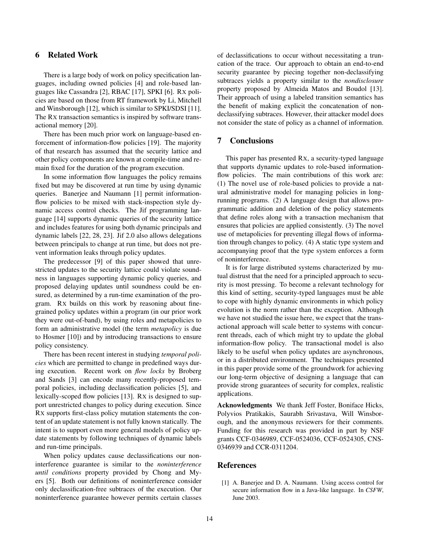## 6 Related Work

There is a large body of work on policy specification languages, including owned policies [4] and role-based languages like Cassandra [2], RBAC [17], SPKI [6]. RX policies are based on those from RT framework by Li, Mitchell and Winsborough [12], which is similar to SPKI/SDSI [11]. The RX transaction semantics is inspired by software transactional memory [20].

There has been much prior work on language-based enforcement of information-flow policies [19]. The majority of that research has assumed that the security lattice and other policy components are known at compile-time and remain fixed for the duration of the program execution.

In some information flow languages the policy remains fixed but may be discovered at run time by using dynamic queries. Banerjee and Naumann [1] permit informationflow policies to be mixed with stack-inspection style dynamic access control checks. The Jif programming language [14] supports dynamic queries of the security lattice and includes features for using both dynamic principals and dynamic labels [22, 28, 23]. Jif 2.0 also allows delegations between principals to change at run time, but does not prevent information leaks through policy updates.

The predecessor [9] of this paper showed that unrestricted updates to the security lattice could violate soundness in languages supporting dynamic policy queries, and proposed delaying updates until soundness could be ensured, as determined by a run-time examination of the program. RX builds on this work by reasoning about finegrained policy updates within a program (in our prior work they were out-of-band), by using roles and metapolicies to form an administrative model (the term *metapolicy* is due to Hosmer [10]) and by introducing transactions to ensure policy consistency.

There has been recent interest in studying *temporal policies* which are permitted to change in predefined ways during execution. Recent work on *flow locks* by Broberg and Sands [3] can encode many recently-proposed temporal policies, including declassification policies [5], and lexically-scoped flow policies [13]. RX is designed to support unrestricted changes to policy during execution. Since RX supports first-class policy mutation statements the content of an update statement is not fully known statically. The intent is to support even more general models of policy update statements by following techniques of dynamic labels and run-time principals.

When policy updates cause declassifications our noninterference guarantee is similar to the *noninterference until conditions* property provided by Chong and Myers [5]. Both our definitions of noninterference consider only declassification-free subtraces of the execution. Our noninterference guarantee however permits certain classes of declassifications to occur without necessitating a truncation of the trace. Our approach to obtain an end-to-end security guarantee by piecing together non-declassifying subtraces yields a property similar to the *nondisclosure* property proposed by Almeida Matos and Boudol [13]. Their approach of using a labeled transition semantics has the benefit of making explicit the concatenation of nondeclassifying subtraces. However, their attacker model does not consider the state of policy as a channel of information.

## 7 Conclusions

This paper has presented RX, a security-typed language that supports dynamic updates to role-based informationflow policies. The main contributions of this work are: (1) The novel use of role-based policies to provide a natural administrative model for managing policies in longrunning programs. (2) A language design that allows programmatic addition and deletion of the policy statements that define roles along with a transaction mechanism that ensures that policies are applied consistently. (3) The novel use of metapolicies for preventing illegal flows of information through changes to policy. (4) A static type system and accompanying proof that the type system enforces a form of noninterference.

It is for large distributed systems characterized by mutual distrust that the need for a principled approach to security is most pressing. To become a relevant technology for this kind of setting, security-typed languages must be able to cope with highly dynamic environments in which policy evolution is the norm rather than the exception. Although we have not studied the issue here, we expect that the transactional approach will scale better to systems with concurrent threads, each of which might try to update the global information-flow policy. The transactional model is also likely to be useful when policy updates are asynchronous, or in a distributed environment. The techniques presented in this paper provide some of the groundwork for achieving our long-term objective of designing a language that can provide strong guarantees of security for complex, realistic applications.

Acknowledgments We thank Jeff Foster, Boniface Hicks, Polyvios Pratikakis, Saurabh Srivastava, Will Winsborough, and the anonymous reviewers for their comments. Funding for this research was provided in part by NSF grants CCF-0346989, CCF-0524036, CCF-0524305, CNS-0346939 and CCR-0311204.

#### References

[1] A. Banerjee and D. A. Naumann. Using access control for secure information flow in a Java-like language. In *CSFW*, June 2003.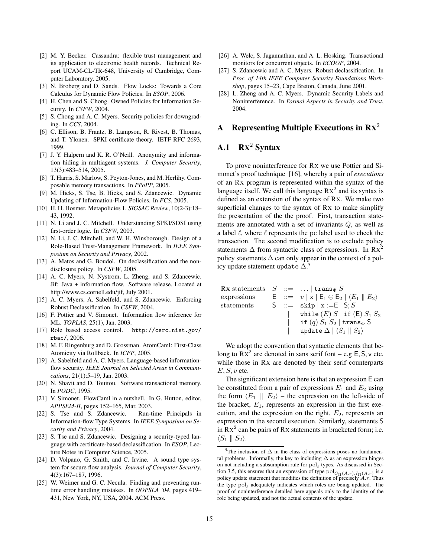- [2] M. Y. Becker. Cassandra: flexible trust management and its application to electronic health records. Technical Report UCAM-CL-TR-648, University of Cambridge, Computer Laboratory, 2005.
- [3] N. Broberg and D. Sands. Flow Locks: Towards a Core Calculus for Dynamic Flow Policies. In *ESOP*, 2006.
- [4] H. Chen and S. Chong. Owned Policies for Information Security. In *CSFW*, 2004.
- [5] S. Chong and A. C. Myers. Security policies for downgrading. In *CCS*, 2004.
- [6] C. Ellison, B. Frantz, B. Lampson, R. Rivest, B. Thomas, and T. Ylonen. SPKI certificate theory. IETF RFC 2693, 1999.
- [7] J. Y. Halpern and K. R. O'Neill. Anonymity and information hiding in multiagent systems. *J. Computer Security*, 13(3):483–514, 2005.
- [8] T. Harris, S. Marlow, S. Peyton-Jones, and M. Herlihy. Composable memory transactions. In *PPoPP*, 2005.
- [9] M. Hicks, S. Tse, B. Hicks, and S. Zdancewic. Dynamic Updating of Information-Flow Policies. In *FCS*, 2005.
- [10] H. H. Hosmer. Metapolicies 1. *SIGSAC Review*, 10(2-3):18– 43, 1992.
- [11] N. Li and J. C. Mitchell. Understanding SPKI/SDSI using first-order logic. In *CSFW*, 2003.
- [12] N. Li, J. C. Mitchell, and W. H. Winsborough. Design of a Role-Based Trust-Management Framework. In *IEEE Symposium on Security and Privacy*, 2002.
- [13] A. Matos and G. Boudol. On declassification and the nondisclosure policy. In *CSFW*, 2005.
- [14] A. C. Myers, N. Nystrom, L. Zheng, and S. Zdancewic. Jif: Java + information flow. Software release. Located at http://www.cs.cornell.edu/jif, July 2001.
- [15] A. C. Myers, A. Sabelfeld, and S. Zdancewic. Enforcing Robust Declassification. In *CSFW*, 2004.
- [16] F. Pottier and V. Simonet. Information flow inference for ML. *TOPLAS*, 25(1), Jan. 2003.
- [17] Role based access control. http://csrc.nist.gov/ rbac/, 2006.
- [18] M. F. Ringenburg and D. Grossman. AtomCaml: First-Class Atomicity via Rollback. In *ICFP*, 2005.
- [19] A. Sabelfeld and A. C. Myers. Language-based informationflow security. *IEEE Journal on Selected Areas in Communications*, 21(1):5–19, Jan. 2003.
- [20] N. Shavit and D. Touitou. Software transactional memory. In *PODC*, 1995.
- [21] V. Simonet. FlowCaml in a nutshell. In G. Hutton, editor, *APPSEM-II*, pages 152–165, Mar. 2003.
- [22] S. Tse and S. Zdancewic. Run-time Principals in Information-flow Type Systems. In *IEEE Symposium on Security and Privacy*, 2004.
- [23] S. Tse and S. Zdancewic. Designing a security-typed language with certificate-based declassification. In *ESOP*, Lecture Notes in Computer Science, 2005.
- [24] D. Volpano, G. Smith, and C. Irvine. A sound type system for secure flow analysis. *Journal of Computer Security*, 4(3):167–187, 1996.
- [25] W. Weimer and G. C. Necula. Finding and preventing runtime error handling mistakes. In *OOPSLA '04*, pages 419– 431, New York, NY, USA, 2004. ACM Press.
- [26] A. Welc, S. Jagannathan, and A. L. Hosking. Transactional monitors for concurrent objects. In *ECOOP*, 2004.
- [27] S. Zdancewic and A. C. Myers. Robust declassification. In *Proc. of 14th IEEE Computer Security Foundations Workshop*, pages 15–23, Cape Breton, Canada, June 2001.
- [28] L. Zheng and A. C. Myers. Dynamic Security Labels and Noninterference. In *Formal Aspects in Security and Trust*, 2004.

# A Representing Multiple Executions in  $\mathbf{R} \mathbf{x}^2$

# A.1 RX <sup>2</sup> Syntax

To prove noninterference for RX we use Pottier and Simonet's proof technique [16], whereby a pair of *executions* of an RX program is represented within the syntax of the language itself. We call this language  $Rx^2$  and its syntax is defined as an extension of the syntax of RX. We make two superficial changes to the syntax of RX to make simplify the presentation of the the proof. First, transaction statements are annotated with a set of invariants Q, as well as a label  $\ell$ , where  $\ell$  represents the pc label used to check the transaction. The second modification is to exclude policy statements  $\Delta$  from syntactic class of expressions. In  $Rx^2$ policy statements  $\Delta$  can only appear in the context of a policy update statement update  $\Delta .^5$ 

| RX statements | $S$                                          | ::= | ...   $\text{trans}_{\Phi} S$                         |
|---------------|----------------------------------------------|-----|-------------------------------------------------------|
| expressions   | $E$                                          | ::= | $v   x   E_1 \oplus E_2   \langle E_1    E_2 \rangle$ |
| statements    | $S$                                          | ::= | $\text{skip}   x := E   S; S$                         |
|               | while $(E) S   \text{ if } (E) S_1 S_2$      |     |                                                       |
|               | if $(q) S_1 S_2   \text{trans}_{\Phi} S$     |     |                                                       |
|               | update $\Delta   \langle S_1    S_2 \rangle$ |     |                                                       |

We adopt the convention that syntactic elements that belong to  $Rx^2$  are denoted in sans serif font – e.g  $E$ , S, v etc. while those in RX are denoted by their serif counterparts  $E, S, v$  etc.

The significant extension here is that an expression E can be constituted from a pair of expressions  $E_1$  and  $E_2$  using the form  $\langle E_1 \parallel E_2 \rangle$  – the expression on the left-side of the bracket,  $E_1$ , represents an expression in the first execution, and the expression on the right,  $E_2$ , represents an expression in the second execution. Similarly, statements S in  $Rx^2$  can be pairs of Rx statements in bracketed form; i.e.  $\langle S_1 \parallel S_2 \rangle$ .

<sup>&</sup>lt;sup>5</sup>The inclusion of  $\Delta$  in the class of expressions poses no fundamental problems. Informally, the key to including  $\Delta$  as an expression hinges on not including a subsumption rule for  $pol_{\ell}$  types. As discussed in Section 3.5, this ensures that an expression of type  $pol_{C_{\Pi}(A,r),I_{\Pi}(A,r)}$  is a policy update statement that modifies the definition of precisely  $A.r$ . Thus the type  $pol_{\ell}$  adequately indicates which roles are being updated. The proof of noninterference detailed here appeals only to the identity of the role being updated, and not the actual contents of the update.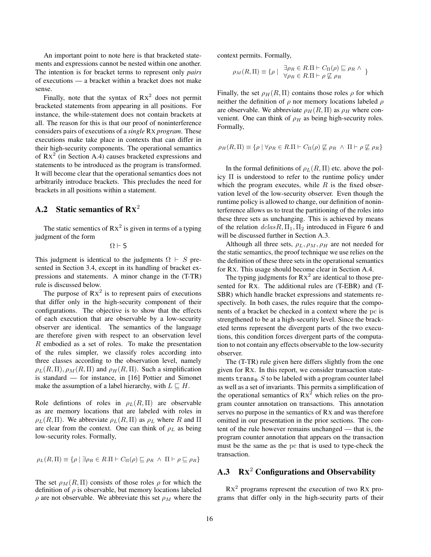An important point to note here is that bracketed statements and expressions cannot be nested within one another. The intention is for bracket terms to represent only *pairs* of executions — a bracket within a bracket does not make sense.

Finally, note that the syntax of  $Rx^2$  does not permit bracketed statements from appearing in all positions. For instance, the while-statement does not contain brackets at all. The reason for this is that our proof of noninterference considers pairs of executions of a *single* RX *program*. These executions make take place in contexts that can differ in their high-security components. The operational semantics of  $Rx<sup>2</sup>$  (in Section A.4) causes bracketed expressions and statements to be introduced as the program is transformed. It will become clear that the operational semantics does not arbitrarily introduce brackets. This precludes the need for brackets in all positions within a statement.

# A.2 Static semantics of  $\mathbf{R} \mathbf{x}^2$

The static sementics of  $Rx^2$  is given in terms of a typing judgment of the form

 $\Omega \vdash S$ 

This judgment is identical to the judgments  $\Omega \vdash S$  presented in Section 3.4, except in its handling of bracket expressions and statements. A minor change in the (T-TR) rule is discussed below.

The purpose of  $Rx^2$  is to represent pairs of executions that differ only in the high-security component of their configurations. The objective is to show that the effects of each execution that are observable by a low-security observer are identical. The semantics of the language are therefore given with respect to an observation level R embodied as a set of roles. To make the presentation of the rules simpler, we classify roles according into three classes according to the observation level, namely  $\rho_L(R,\Pi), \rho_M(R,\Pi)$  and  $\rho_H(R,\Pi)$ . Such a simplification is standard — for instance, in [16] Pottier and Simonet make the assumption of a label hierarchy, with  $L \sqsubseteq H$ .

Role defintions of roles in  $\rho_L(R,\Pi)$  are observable as are memory locations that are labeled with roles in  $\rho_L(R, \Pi)$ . We abbreviate  $\rho_L(R, \Pi)$  as  $\rho_L$  where R and  $\Pi$ are clear from the context. One can think of  $\rho_L$  as being low-security roles. Formally,

$$
\rho_L(R,\Pi) \equiv \{ \rho \mid \exists \rho_R \in R.\Pi \vdash C_{\Pi}(\rho) \sqsubseteq \rho_R \ \land \ \Pi \vdash \rho \sqsubseteq \rho_R \}
$$

The set  $\rho_M(R,\Pi)$  consists of those roles  $\rho$  for which the definition of  $\rho$  is observable, but memory locations labeled  $\rho$  are not observable. We abbreviate this set  $\rho_M$  where the context permits. Formally,

$$
\rho_M(R,\Pi) \equiv \{ \rho \mid \ \exists \rho_R \in R.\Pi \vdash C_{\Pi}(\rho) \sqsubseteq \rho_R \land \}
$$

$$
\forall \rho_R \in R.\Pi \vdash \rho \not\sqsubseteq \rho_R
$$

Finally, the set  $\rho_H(R,\Pi)$  contains those roles  $\rho$  for which neither the definition of  $\rho$  nor memory locations labeled  $\rho$ are observable. We abbreviate  $\rho_H(R,\Pi)$  as  $\rho_H$  where convenient. One can think of  $\rho_H$  as being high-security roles. Formally,

$$
\rho_H(R,\Pi) \equiv \{ \rho \mid \forall \rho_R \in R.\Pi \vdash C_{\Pi}(\rho) \not\sqsubseteq \rho_R \ \land \ \Pi \vdash \rho \not\sqsubseteq \rho_R \}
$$

In the formal definitions of  $\rho_L(R,\Pi)$  etc. above the policy Π is understood to refer to the runtime policy under which the program executes, while  $R$  is the fixed observation level of the low-security observer. Even though the runtime policy is allowed to change, our definition of noninterference allows us to treat the partitioning of the roles into these three sets as unchanging. This is achieved by means of the relation  $dclasR$ ,  $\Pi_1$ ,  $\Pi_2$  introduced in Figure 6 and will be discussed further in Section A.3.

Although all three sets,  $\rho_L$ ,  $\rho_M$ ,  $\rho_H$  are not needed for the static semantics, the proof technique we use relies on the the definition of these three sets in the operational semantics for RX. This usage should become clear in Section A.4.

The typing judgments for  $Rx^2$  are identical to those presented for RX. The additional rules are (T-EBR) and (T-SBR) which handle bracket expressions and statements respectively. In both cases, the rules require that the components of a bracket be checked in a context where the pc is strengthened to be at a high-security level. Since the bracketed terms represent the divergent parts of the two executions, this condition forces divergent parts of the computation to not contain any effects observable to the low-security observer.

The (T-TR) rule given here differs slightly from the one given for RX. In this report, we consider transaction statements trans $\Phi S$  to be labeled with a program counter label as well as a set of invariants. This permits a simplification of the operational semantics of  $Rx^2$  which relies on the program counter annotation on transactions. This annotation serves no purpose in the semantics of RX and was therefore omitted in our presentation in the prior sections. The content of the rule however remains unchanged — that is, the program counter annotation that appears on the transaction must be the same as the pc that is used to type-check the transaction.

# A.3  $\mathbf{R} \mathbf{X}^2$  Configurations and Observability

 $Rx<sup>2</sup>$  programs represent the execution of two Rx programs that differ only in the high-security parts of their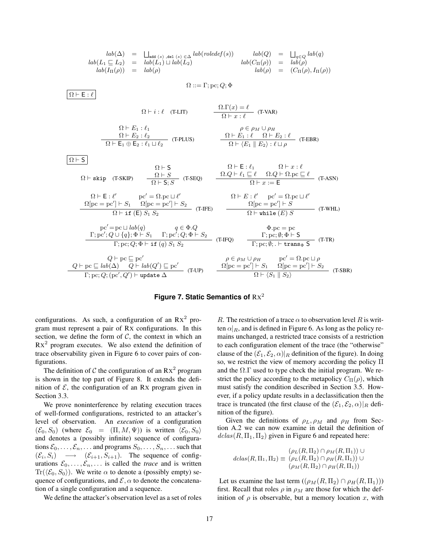$$
lab(\Delta) = \bigcup_{add (s), add (s) \in \Delta} lab(roledef(s)) \quad lab(Q) = \bigcup_{q \in Q} lab(q)
$$
\n
$$
lab(L_1 \subseteq L_2) = lab(L_1) \sqcup lab(L_2) \qquad lab(\cap(p)) = lab(\rho)
$$
\n
$$
lab(\cap(p)) = lab(\rho)
$$
\n
$$
lab(\rho) = (C_{\Pi}(\rho), I_{\Pi}(\rho))
$$
\n
$$
\Omega := \Gamma; pc; Q; \Phi
$$
\n
$$
\Omega \vdash E : \ell
$$
\n
$$
\Omega \vdash E_1 : \ell_1
$$
\n
$$
\Omega \vdash E_2 : \ell_2
$$
\n
$$
\Omega \vdash E_2 : \ell_2
$$
\n
$$
\Omega \vdash E_1 : \ell_1
$$
\n
$$
\Omega \vdash E_2 : \ell_2
$$
\n
$$
\Omega \vdash E_2 : \ell_1 \sqcup \ell_2
$$
\n
$$
\Omega \vdash E_1 : \ell_1
$$
\n
$$
\Omega \vdash E_2 : \ell_2
$$
\n
$$
\Omega \vdash E_2 : \ell_1 \sqcup \ell_2
$$
\n
$$
\Omega \vdash E_1 : \ell_1
$$
\n
$$
\Omega \vdash E_1 : \ell_1
$$
\n
$$
\Omega \vdash E_2 : \ell_1 \sqcup \ell_2
$$
\n
$$
\Omega \vdash E_2 : \ell_1 \sqcup \ell_2
$$
\n
$$
\Omega \vdash E_1 : \ell_1
$$
\n
$$
\Omega \vdash E_1 : \ell_1
$$
\n
$$
\Omega \vdash E_1 : \ell_1
$$
\n
$$
\Omega \vdash E_2 : \ell_1 \sqcup \ell_2
$$
\n
$$
\Omega \vdash E_2 : \ell_1 \sqcup \ell_2
$$
\n
$$
\Omega \vdash E_1 : \ell_1
$$
\n
$$
\Omega \vdash E_2 : \ell_1 \sqcup \ell_2
$$
\n
$$
\Omega \vdash E_2 : \ell_1 \sqcup \ell_2
$$
\n
$$
\Omega \vdash E_1 : \ell_1
$$
\n
$$
\Omega \vdash E_2 : \ell_1 \sqcup \ell_2
$$
\n<math display="block</math>

## **Figure 7. Static Semantics of** RX 2

configurations. As such, a configuration of an  $Rx^2$  program must represent a pair of RX configurations. In this section, we define the form of  $C$ , the context in which an  $Rx<sup>2</sup>$  program executes. We also extend the definition of trace observability given in Figure 6 to cover pairs of configurations.

The definition of C the configuration of an  $Rx^2$  program is shown in the top part of Figure 8. It extends the definition of  $\mathcal{E}$ , the configuration of an Rx program given in Section 3.3.

We prove noninterference by relating execution traces of well-formed configurations, restricted to an attacker's level of observation. An *execution* of a configuration  $(\mathcal{E}_0, S_0)$  (where  $\mathcal{E}_0 = (\Pi, M, \Psi)$ ) is written  $\langle \mathcal{E}_0, S_0 \rangle$ and denotes a (possibly infinite) sequence of configurations  $\mathcal{E}_0, \ldots, \mathcal{E}_n, \ldots$  and programs  $S_0, \ldots, S_n, \ldots$  such that  $(\mathcal{E}_i, S_i) \longrightarrow (\mathcal{E}_{i+1}, S_{i+1})$ . The sequence of configurations  $\mathcal{E}_0, \ldots, \mathcal{E}_n, \ldots$  is called the *trace* and is written  $\text{Tr}(\langle \mathcal{E}_0, S_0 \rangle)$ . We write  $\alpha$  to denote a (possibly empty) sequence of configurations, and  $\mathcal{E}$ ,  $\alpha$  to denote the concatenation of a single configuration and a sequence.

We define the attacker's observation level as a set of roles

R. The restriction of a trace  $\alpha$  to observation level R is written  $\alpha|_R$ , and is defined in Figure 6. As long as the policy remains unchanged, a restricted trace consists of a restriction to each configuration element of the trace (the "otherwise" clause of the  $(\mathcal{E}_1, \mathcal{E}_2, \alpha)|_R$  definition of the figure). In doing so, we restrict the view of memory according the policy Π and the  $\Omega$ . Tused to type check the initial program. We restrict the policy according to the metapolicy  $C_{\Pi}(\rho)$ , which must satisfy the condition described in Section 3.5. However, if a policy update results in a declassification then the trace is truncated (the first clause of the  $(\mathcal{E}_1, \mathcal{E}_2, \alpha)|_R$  definition of the figure).

Given the definitions of  $\rho_L$ ,  $\rho_M$  and  $\rho_H$  from Section A.2 we can now examine in detail the definition of  $dclas(R, \Pi_1, \Pi_2)$  given in Figure 6 and repeated here:

$$
dclas(R, \Pi_1, \Pi_2) \equiv (\rho_L(R, \Pi_2) \cap \rho_M(R, \Pi_1)) \cup
$$
  

$$
(p_L(R, \Pi_2) \cap \rho_H(R, \Pi_1)) \cup
$$
  

$$
(\rho_M(R, \Pi_2) \cap \rho_H(R, \Pi_1))
$$

Let us examine the last term  $((\rho_M(R, \Pi_2) \cap \rho_H(R, \Pi_1)))$ first. Recall that roles  $\rho$  in  $\rho_M$  are those for which the definition of  $\rho$  is observable, but a memory location x, with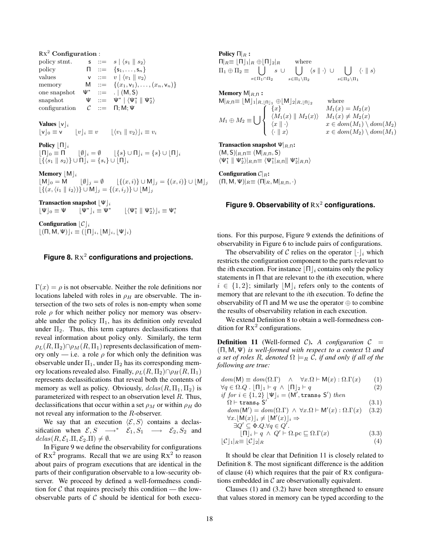$Rx^2$  Configuration : policy stmt.  $\mathsf{s} \ := \ s \mid \langle s_1 \parallel s_2 \rangle$ policy  $\Pi := \{s_1, \ldots, s_n\}$ values  $\mathsf{v} \ ::= v \mid \langle v_1 \parallel v_2 \rangle$ memory  $M := \{(x_1, v_1), \ldots, (x_n, v_n)\}\$ one snapshot ∗  $::= \ . \ | (M, S)$ snapshot  $\Psi ::=$  $^*$   $\mid \langle \Psi_1^* \parallel \Psi_2^* \rangle$ configuration  $C := \Pi; M; \Psi$ 

Values  $|v|_i$ 

 $\lfloor v \rfloor_0 \equiv v \qquad |v|_i \equiv v \qquad |\langle v_1 \parallel v_2 \rangle|_i \equiv v_i$ 

Policy  $\lceil \Pi \rceil_i$ 

 $\lfloor \Pi \rfloor_0 \equiv \Pi$   $\lfloor \emptyset \rfloor_i = \emptyset$   $\lfloor \{s\} \cup \Pi \rfloor_i = \{s\} \cup \lfloor \Pi \rfloor_i$  $\lfloor \{ \langle s_1 | | s_2 \rangle \} \cup \Pi \rfloor_i = \{ s_i \} \cup \lfloor \Pi \rfloor_i$ 

**Memory**  $[M]_i$ 

 $[M]_0 = M$   $[\emptyset]_j = \emptyset$   $[\{(x, i)\} \cup M]_j = \{(x, i)\} \cup [M]_j$  $\lfloor \{(x, \langle i_1 \parallel i_2 \rangle)\} \cup M \rfloor_j = \{(x, i_j)\} \cup [M]_j$ 

Transaction snapshot  $|\Psi|_i$ 

 $|\Psi|_0 \equiv \Psi$  $*|_i \equiv \Psi^*$  $\lfloor \langle \Psi_1^* \parallel \Psi_2^* \rangle \rfloor_i \equiv \Psi_i^*$ 

Configuration  $|C|_i$  $|(\Pi, M, \Psi)|_i \equiv (|\Pi|_i, |M|_i, |\Psi|_i)$ 

## **Figure 8.** RX 2 **configurations and projections.**

 $\Gamma(x) = \rho$  is not observable. Neither the role definitions nor locations labeled with roles in  $\rho_H$  are observable. The intersection of the two sets of roles is non-empty when some role  $\rho$  for which neither policy nor memory was observable under the policy  $\Pi_1$ , has its definition only revealed under  $\Pi_2$ . Thus, this term captures declassifications that reveal information about policy only. Similarly, the term  $\rho_L(R, \Pi_2) \cap \rho_M(R, \Pi_1)$  represents declassification of memory only — i.e. a role  $\rho$  for which only the definition was observable under  $\Pi_1$ , under  $\Pi_2$  has its corresponding memory locations revealed also. Finally,  $\rho_L(R, \Pi_2) \cap \rho_H(R, \Pi_1)$ represents declassifications that reveal both the contents of memory as well as policy. Obviously,  $dclas(R, \Pi_1, \Pi_2)$  is parameterized with respect to an observation level R. Thus, declassifications that occur within a set  $\rho_M$  or within  $\rho_H$  do not reveal any information to the R-observer.

We say that an execution  $\langle \mathcal{E}, S \rangle$  contains a declassification when  $\mathcal{E}, S \longrightarrow^* \mathcal{E}_1, S_1 \longrightarrow \mathcal{E}_2, S_2$  and  $dclas(R, \mathcal{E}_1.\Pi, \mathcal{E}_2.\Pi) \neq \emptyset.$ 

In Figure 9 we define the observability for configurations of  $Rx^2$  programs. Recall that we are using  $Rx^2$  to reason about pairs of program executions that are identical in the parts of their configuration observable to a low-security observer. We proceed by defined a well-formedness condition for  $\mathcal C$  that requires precisely this condition — the lowobservable parts of  $C$  should be identical for both execuPolicy  $\Pi_R$ :  $\prod_{R} \equiv \lfloor \prod_{1} \rfloor_R \oplus \lfloor \prod_{2} \rfloor_R$  where  $\Pi_1 \oplus \Pi_2 \equiv \begin{array}{c} \end{array}$  $s\in\Pi_1\cap\Pi_2$  $s \cup$  []  $s\in\Pi_1\setminus\Pi_2$  $\langle s | | \cdot \rangle \cup |$  $s\in\Pi_2\backslash\Pi_1$  $\langle \cdot | |s \rangle$ 

**Memory**  $M|_{R,\Pi}$  :<br> $M|_{R,\Pi} \equiv [M]_1|_{R,|\Pi|_1} \oplus [M]_2|_{R,|\Pi|_2}$  $M|_{R,\Pi} \equiv [M]_1|_{R,[\Pi]_1} \oplus [M]_2|_{R,[\Pi]_2}$  where  $M_1 \oplus M_2 \equiv \begin{bmatrix} \end{bmatrix}$  $\sqrt{2}$  $\int$  $\downarrow$ { $x$ }  $M_1(x) = M_2(x)$  $\langle M_1(x) \parallel M_2(x)\rangle$   $M_1(x) \neq M_2(x)$  $\langle x \mid \cdot \rangle$   $x \in dom(M_1) \setminus dom(M_2)$  $\langle \cdot | | x \rangle$   $x \in dom(M_2) \setminus dom(M_1)$ 

**Transaction snapshot**  $\Psi|_{R,\Pi}$ :  $(M, S)|_{R,\Pi} \equiv (M|_{R,\Pi}, S)$  $\langle \Psi_1^* \parallel \Psi_2^* \rangle|_{R,\Pi} \equiv \langle \Psi_1^*|_{R,\Pi} \parallel \Psi_2^*|_{R,\Pi} \rangle$ 

Configuration  $\mathcal{C}|_R$ :  $(\Pi, M, \Psi)|_{R} \equiv (\Pi|_{R}, M|_{R,\Pi}, \cdot)$ 

## Figure 9. Observability of  $Rx^2$  configurations.

tions. For this purpose, Figure 9 extends the definitions of observability in Figure 6 to include pairs of configurations.

The observability of C relies on the operator  $|\cdot|_i$  which restricts the configuration component to the parts relevant to the *i*th execution. For instance  $\left|\Pi\right|$  contains only the policy statements in  $\Pi$  that are relevant to the *i*th execution, where  $i \in \{1,2\}$ ; similarly  $|M|_i$  refers only to the contents of memory that are relevant to the ith execution. To define the observability of  $\Pi$  and M we use the operator  $\oplus$  to combine the results of observability relation in each execution.

We extend Definition 8 to obtain a well-formedness condition for  $Rx^2$  configurations.

**Definition 11** (Well-formed C). A configuration  $C =$ (Π, M, Ψ) *is well-formed with respect to a context* Ω *and a set of roles* R, denoted  $\Omega \models_R \mathcal{C}$ , if and only if all of the *following are true:*

 $dom(\mathsf{M}) \equiv dom(\Omega.\Gamma) \quad \wedge \quad \forall x.\Omega \vdash \mathsf{M}(x) : \Omega.\Gamma(x) \qquad (1)$ 

$$
\forall q \in \Omega. Q \quad [\Pi]_1 \vdash q \land [\Pi]_2 \vdash q \tag{2}
$$

if for  $i \in \{1,2\}$   $\lfloor \Psi \rfloor_i = (M', \text{trans}_{\Phi} S')$  then  $\Omega \vdash \texttt{trans}_\Phi \; \mathsf{S}'$ 

$$
dom(\mathsf{M}') = dom(\Omega.\Gamma) \land \forall x.\Omega \vdash \mathsf{M}'(x) : \Omega.\Gamma(x) \quad (3.2)
$$
  

$$
\forall x. [\mathsf{M}(x)]_i \neq [\mathsf{M}'(x)]_i \Rightarrow
$$

(3.1)

$$
\exists Q' \subseteq \Phi.Q. \forall q \in Q'.
$$

$$
\begin{array}{c}\n[\Pi]_i \vdash q \land Q' \vdash \Omega.\text{pc} \sqsubseteq \Omega.\Gamma(x) \\
[\mathcal{C}]_1|_R \equiv [\mathcal{C}]_2|_R\n\end{array} \tag{3.3}
$$

It should be clear that Definition 11 is closely related to Definition 8. The most significant difference is the addition of clause (4) which requires that the pair of RX configurations embedded in  $\mathcal C$  are observationally equivalent.

Clauses (1) and (3.2) have been strengthened to ensure that values stored in memory can be typed according to the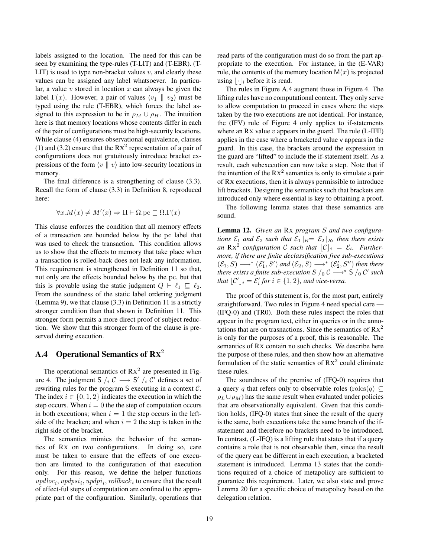labels assigned to the location. The need for this can be seen by examining the type-rules (T-LIT) and (T-EBR). (T-LIT) is used to type non-bracket values  $v$ , and clearly these values can be assigned any label whatsoever. In particular, a value  $v$  stored in location  $x$  can always be given the label  $\Gamma(x)$ . However, a pair of values  $\langle v_1 \parallel v_2 \rangle$  must be typed using the rule (T-EBR), which forces the label assigned to this expression to be in  $\rho_M \cup \rho_H$ . The intuition here is that memory locations whose contents differ in each of the pair of configurations must be high-security locations. While clause (4) ensures observational equivalence, clauses (1) and (3.2) ensure that the  $Rx^2$  representation of a pair of configurations does not gratuitously introduce bracket expressions of the form  $\langle v \parallel v \rangle$  into low-security locations in memory.

The final difference is a strengthening of clause (3.3). Recall the form of clause (3.3) in Definition 8, reproduced here:

$$
\forall x. M(x) \neq M'(x) \Rightarrow \Pi \vdash \Omega. \text{pc} \sqsubseteq \Omega. \Gamma(x)
$$

This clause enforces the condition that all memory effects of a transaction are bounded below by the pc label that was used to check the transaction. This condition allows us to show that the effects to memory that take place when a transaction is rolled-back does not leak any information. This requirement is strengthened in Definition 11 so that, not only are the effects bounded below by the pc, but that this is provable using the static judgment  $Q \vdash \ell_1 \sqsubseteq \ell_2$ . From the soundness of the static label ordering judgment (Lemma 9), we that clause (3.3) in Definition 11 is a strictly stronger condition than that shown in Definition 11. This stronger form permits a more direct proof of subject reduction. We show that this stronger form of the clause is preserved during execution.

# A.4 Operational Semantics of  $\mathbf{R} \mathbf{x}^2$

The operational semantics of  $Rx^2$  are presented in Figure 4. The judgment S  $\frac{1}{i}$  C  $\longrightarrow$  S'  $\frac{1}{i}$  C' defines a set of rewriting rules for the program S executing in a context C. The index  $i \in \{0, 1, 2\}$  indicates the execution in which the step occurs. When  $i = 0$  the the step of computation occurs in both executions; when  $i = 1$  the step occurs in the leftside of the bracken; and when  $i = 2$  the step is taken in the right side of the bracket.

The semantics mimics the behavior of the semantics of RX on two configurations. In doing so, care must be taken to ensure that the effects of one execution are limited to the configuration of that execution only. For this reason, we define the helper functions  $update_i, updpsi_i, updpi_i, rollback_i$  to ensure that the result of effect-ful steps of computation are confined to the appropriate part of the configuration. Similarly, operations that read parts of the configuration must do so from the part appropriate to the execution. For instance, in the (E-VAR) rule, the contents of the memory location  $M(x)$  is projected using  $|\cdot|_i$  before it is read.

The rules in Figure A.4 augment those in Figure 4. The lifting rules have no computational content. They only serve to allow computation to proceed in cases where the steps taken by the two executions are not identical. For instance, the (IFV) rule of Figure 4 only applies to if-statements where an Rx value  $v$  appears in the guard. The rule (L-IFE) applies in the case where a bracketed value v appears in the guard. In this case, the brackets around the expression in the guard are "lifted" to include the if-statement itself. As a result, each subexecution can now take a step. Note that if the intention of the  $Rx^2$  semantics is only to simulate a pair of RX executions, then it is always permissible to introduce lift brackets. Designing the semantics such that brackets are introduced only where essential is key to obtaining a proof.

The following lemma states that these semantics are sound.

Lemma 12. *Given an* RX *program* S *and two configurations*  $\mathcal{E}_1$  *and*  $\mathcal{E}_2$  *such that*  $\mathcal{E}_1 |_{R} = \mathcal{E}_2 |_{R}$ *, then there exists an*  $Rx^2$  configuration C such that  $\lfloor C \rfloor_i = \mathcal{E}_i$ . Further*more, if there are finite declassification free sub-executions*  $(\mathcal{E}_1, S) \longrightarrow^* (\mathcal{E}'_1, S')$  and  $(\mathcal{E}_2, S) \longrightarrow^* (\mathcal{E}'_2, S'')$  then there *there exists a finite sub-execution S*  $/$   $\beta$   $\mathcal{C}$   $\longrightarrow$   $*$  S  $/$   $\beta$   $\mathcal{C}'$  *such that*  $\lfloor \mathcal{C}' \rfloor_i = \mathcal{E}'_i$  *for*  $i \in \{1, 2\}$ *, and vice-versa.* 

The proof of this statement is, for the most part, entirely straightforward. Two rules in Figure 4 need special care — (IFQ-0) and (TR0). Both these rules inspect the roles that appear in the program text, either in queries or in the annotations that are on trasnactions. Since the semantics of  $Rx^2$ is only for the purposes of a proof, this is reasonable. The semantics of RX contain no such checks. We describe here the purpose of these rules, and then show how an alternative formulation of the static semantics of  $Rx^2$  could eliminate these rules.

The soundness of the premise of (IFQ-0) requires that a query q that refers only to observable roles (roles $(q) \subseteq$  $\rho_L \cup \rho_M$ ) has the same result when evaluated under policies that are observationally equivalent. Given that this condition holds, (IFQ-0) states that since the result of the query is the same, both executions take the same branch of the ifstatement and therefore no brackets need to be introduced. In contrast, (L-IFQ) is a lifting rule that states that if a query contains a role that is not observable then, since the result of the query can be different in each execution, a bracketed statement is introduced. Lemma 13 states that the conditions required of a choice of metapolicy are sufficient to guarantee this requirement. Later, we also state and prove Lemma 20 for a specific choice of metapolicy based on the delegation relation.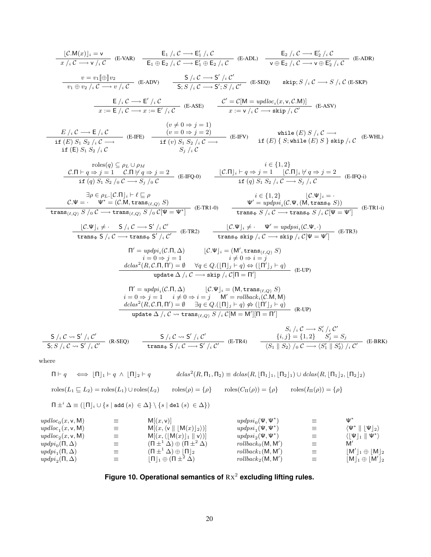$$
\frac{[\mathcal{CM}(x)]_i = v}{x/i C \rightarrow v/i C} \quad (E-VAR) \quad \frac{E_1/i C \rightarrow E'_1/i C}{E_1 \oplus E_2/i C \rightarrow E'_1 \oplus E_2/i C} \quad (E-ADK) \quad \frac{E_2/i C \rightarrow E'_2/i C}{v \oplus E_2/i C \rightarrow v \oplus E'_2/i C} \quad (E-ADR)
$$
\n
$$
\frac{v = v_1[\oplus]v_2}{v_1 \oplus v_2/i C \rightarrow v/i C} \quad (E-ADV) \quad \frac{S/i C \rightarrow S'/i C'}{S; S/i C \rightarrow S'; S/i C'} \quad (E-SEQ) \quad \text{skip}; S/i C \rightarrow S/i C \quad (E-SKP)
$$
\n
$$
\frac{E/i C \rightarrow E/i C}{x := E/i C \rightarrow x := E'/i C} \quad (E-ASE) \quad \frac{C' = C[M = updloc_i(x, v, C.M)]}{x := v/i C \rightarrow \text{skip}; v / (C \rightarrow \text{skip})} \quad (E-ASV)
$$
\n
$$
\frac{E/i C \rightarrow E/i C}{x := E/i C \rightarrow x := E'/i C} \quad (E-ASE) \quad \frac{C' = C[M = updloc_i(x, v, C.M)]}{x := v/i C \rightarrow \text{skip}; v / (C \rightarrow \text{skip})} \quad (E-ASV)
$$
\n
$$
\frac{E/i C \rightarrow E/i C}{\text{if } (E) S; S_2/i C \rightarrow (E-IFE)} \quad \frac{(v \neq 0 \Rightarrow j = 1)}{(v = 0 \Rightarrow j = 2)} \quad (E-IFV) \quad \text{if } (E) \{S; \text{while } (E) S \} \text{skip}; v / (C \rightarrow \text{for } (E-WHA) \text{if } (E) S \} \text{skip}; v / (C \rightarrow \text{for } (E-WHA) \text{if } (E) S \} \text{skip}; v / (C \rightarrow \text{for } (E-WHA) \text{if } (E) S \} \text{skip}; v / (C \rightarrow \text{for } (E-WHA) \text{if } (E) S \} \text{skip}; v / (C \rightarrow \text{for } (E-WHA) \text{if } (E) S \} \text{skip}; v / (C \rightarrow \text{for } (E-WHA) \text{if } (E) S \} \text{skip}; v / (C \rightarrow \text{for } (E-WHA) \text{if
$$

$$
\frac{\mathsf{S}/_i \mathcal{C} \rightsquigarrow \mathsf{S}^{\prime}/_i \mathcal{C}^{\prime}}{\mathsf{S}; S /_i \mathcal{C} \rightsquigarrow \mathsf{S}^{\prime}/_i \mathcal{C}^{\prime}} \quad (\text{R-SEQ}) \qquad \frac{\mathsf{S}/_i \mathcal{C} \rightsquigarrow \mathsf{S}^{\prime}/_i \mathcal{C}^{\prime}}{\mathsf{trans}_{\Phi} \mathsf{S}/_i \mathcal{C} \longrightarrow \mathsf{S}^{\prime}/_i \mathcal{C}^{\prime}} \quad (\text{E-TR4}) \qquad \frac{\{i,j\} = \{1,2\} \quad S_j^{\prime} = S_j}{\langle S_1 \parallel S_2 \rangle /_0 \mathcal{C} \longrightarrow \langle S_1^{\prime} \parallel S_2^{\prime} \rangle /_i \mathcal{C}^{\prime}} \quad (\text{E-BRK})
$$

where

$$
\Pi \vdash q \iff [\Pi]_1 \vdash q \land [\Pi]_2 \vdash q \qquad \mathit{dclas}^2(R, \Pi_1, \Pi_2) \equiv \mathit{dclas}(R, [\Pi_1]_1, [\Pi_2]_1) \cup \mathit{dclas}(R, [\Pi_1]_2, [\Pi_2]_2)
$$

$$
\mathit{roles}(L_1 \sqsubseteq L_2) = \mathit{roles}(L_1) \cup \mathit{roles}(L_2) \qquad \mathit{roles}(\rho) = \{\rho\} \qquad \mathit{roles}(C_{\Pi}(\rho)) = \{\rho\} \qquad \mathit{roles}(I_{\Pi}(\rho)) = \{\rho\}
$$

$$
\Pi \pm^i \Delta \equiv \left(\lfloor \Pi \rfloor_i \cup \{s \mid \text{add}\ (s) \ \in \Delta\} \setminus \{s \mid \text{del}\ (s) \ \in \Delta\}\right)
$$

| \n $\text{update}_0(x, v, M)$<br>\n $\text{update}_1(x, v, M)$<br>\n $\text{update}_2(x, v, M)$<br>\n $\text{update}_3(D, \Delta)$<br>\n $\text{update}_4(D, \Delta)$<br>\n $\text{update}_5(D, \Delta)$<br>\n $\text{update}_6(D, \Delta)$<br>\n $\text{update}_7(D, \Delta)$<br>\n $\text{update}_8(D, \Delta)$<br>\n $\text{update}_9(D, \Delta)$<br>\n $\text{update}_9(D, \Delta)$<br>\n $\text{update}_9(D, \Delta)$<br>\n $\text{value}_2(D, \Delta)$<br>\n $\text{value}_2(D, \Delta)$<br>\n $\text{value}_3(D, \Delta)$<br>\n $\text{value}_3(D, \Delta)$<br>\n $\text{value}_3(D, \Delta)$<br>\n $\text{value}_4(D, \Delta)$<br>\n $\text{value}_5(D, \Delta)$<br>\n $\text{value}_7(D, \Delta)$<br>\n $\text{value}_7(D, \Delta)$<br>\n $\text{value}_8(D, \Delta)$<br>\n $\text{value}_7(D, \Delta)$<br>\n $\text{value}_8(D, \Delta)$<br>\n $\text{value}_9(D, \Delta)$<br>\n $\text{value}_9(D, \Delta)$<br>\n $\text{value}_9(D, \Delta)$<br>\n $\text{value}_9(D, \Delta)$<br>\n $\text{value}_9(D, \Delta)$<br>\n $\text{value}_9(D, \Delta)$<br>\n $\text{value}_9(D, \Delta)$<br>\n $\text{value}_9(D, \Delta)$<br>\n $\text{value}_9(D, \Delta)$<br>\n $\text{value}_9(D, \Delta)$<br>\n $\text{value}_9(D, \Delta)$<br>\n $\text{value}_9(D, \Delta)$<br>\n $\text{value}_9(D, \Delta)$<br>\n $\text{value}_9(D, \Delta)$<br>\n $\text{value}_9(D, \Delta)$<br>\n $\text{value}_9(D, \Delta)$<br>\n $\text{value}_9(D, \Delta)$<br>\n $\text{value}_9(D, \Delta$ |
|---------------------------------------------------------------------------------------------------------------------------------------------------------------------------------------------------------------------------------------------------------------------------------------------------------------------------------------------------------------------------------------------------------------------------------------------------------------------------------------------------------------------------------------------------------------------------------------------------------------------------------------------------------------------------------------------------------------------------------------------------------------------------------------------------------------------------------------------------------------------------------------------------------------------------------------------------------------------------------------------------------------------------------------------------------------------------------------------------------------------------------------------------------------------------------------------------------------------------------------------------------------------------------------------------------------------------------------------------------------------------------------------------------------------------------------------------------------------------------------|
|---------------------------------------------------------------------------------------------------------------------------------------------------------------------------------------------------------------------------------------------------------------------------------------------------------------------------------------------------------------------------------------------------------------------------------------------------------------------------------------------------------------------------------------------------------------------------------------------------------------------------------------------------------------------------------------------------------------------------------------------------------------------------------------------------------------------------------------------------------------------------------------------------------------------------------------------------------------------------------------------------------------------------------------------------------------------------------------------------------------------------------------------------------------------------------------------------------------------------------------------------------------------------------------------------------------------------------------------------------------------------------------------------------------------------------------------------------------------------------------|

Figure 10. Operational semantics of 
$$
Rx^2
$$
 excluding lifting rules.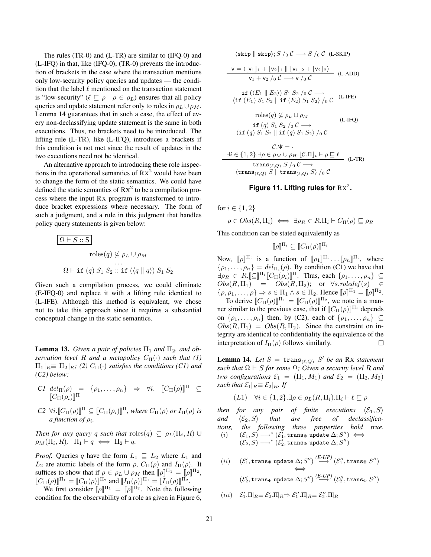The rules (TR-0) and (L-TR) are similar to (IFQ-0) and (L-IFQ) in that, like (IFQ-0), (TR-0) prevents the introduction of brackets in the case where the transaction mentions only low-security policy queries and updates — the condition that the label  $\ell$  mentioned on the transaction statement is "low-security" ( $\ell \sqsubseteq \rho \quad \rho \in \rho_L$ ) ensures that all policy queries and update statement refer only to roles in  $\rho_L \cup \rho_M$ . Lemma 14 guarantees that in such a case, the effect of every non-declassifying update statement is the same in both executions. Thus, no brackets need to be introduced. The lifting rule (L-TR), like (L-IFQ), introduces a brackets if this condition is not met since the result of updates in the two executions need not be identical.

An alternative approach to introducing these role inspections in the operational semantics of  $Rx^2$  would have been to change the form of the static semantics. We could have defined the static semantics of  $Rx^2$  to be a compilation process where the input RX program is transformed to introduce bracket expressions where necessary. The form of such a judgment, and a rule in this judgment that handles policy query statements is given below:

$$
\Omega \vdash S :: S
$$
  
\n
$$
\text{roles}(q) \not\subseteq \rho_L \cup \rho_M
$$
  
\n...  
\n
$$
\Omega \vdash \text{if } (q) S_1 S_2 :: \text{if } (\langle q \parallel q \rangle) S_1 S_2
$$

Given such a compilation process, we could eliminate (E-IFQ-0) and replace it with a lifting rule identical to (L-IFE). Although this method is equivalent, we chose not to take this approach since it requires a substantial conceptual change in the static semantics.

**Lemma 13.** *Given a pair of policies*  $\Pi_1$  *and*  $\Pi_2$ *, and observation level* R *and a metapolicy*  $C_{\Pi}(\cdot)$  *such that* (1)  $\Pi_1|_R \equiv \Pi_2|_R$ ; (2)  $C_{\Pi}(\cdot)$  *satisfies the conditions (C1) and (C2) below:*

- *C1*  $del_{\Pi}(\rho) = {\rho_1, ..., \rho_n} \Rightarrow \forall i. \quad [[C_{\Pi}(\rho)]]^{\Pi} \subseteq$  $[\![C_{\Pi}(\rho_i)]\!]^{\Pi}$
- $C2 \ \forall i.$   $[\![C_{\Pi}(\rho)]\!]^{\Pi} \subseteq [\![C_{\Pi}(\rho_i)]\!]^{\Pi}$ *, where*  $C_{\Pi}(\rho)$  *or*  $I_{\Pi}(\rho)$  *is a function of* ρ<sup>i</sup> *.*

*Then for any query* q *such that*  $\mathrm{roles}(q) \subseteq \rho_L(\Pi_i, R) \cup$  $\rho_M(\Pi_i, R)$ ,  $\Pi_1 \vdash q \iff \Pi_2 \vdash q$ .

*Proof.* Queries q have the form  $L_1 \subseteq L_2$  where  $L_1$  and  $L_2$  are atomic labels of the form  $\rho$ ,  $C_{\Pi}(\rho)$  and  $I_{\Pi}(\rho)$ . It suffices to show that if  $\rho \in \rho_L \cup \rho_M$  then  $[\![\rho]\!]^{\Pi_1} = [\![\rho]\!]^{\Pi_2}$ ,  $[[C_{\Pi}(\rho)]^{\Pi_1} = [[C_{\Pi}(\rho)]^{\Pi_2}$  and  $[[I_{\Pi}(\rho)]^{\Pi_1} = [[I_{\Pi}(\rho)]^{\Pi_2}$ .

We first consider  $[\![\rho]\!]^{\Pi_1} = [\![\rho]\!]^{\Pi_2}$ . Note the following condition for the observability of a role as given in Figure 6,

$$
\langle \text{skip } || \text{ skip } || \text{ skip } \rangle; S /_{0} C \longrightarrow S /_{0} C \text{ (L-SKIP)}
$$
\n
$$
\mathbf{v} = \langle [v_{1}]_{1} + [v_{2}]_{1} || [v_{1}]_{2} + [v_{2}]_{2} \rangle \qquad \text{(L-ADD)}
$$
\n
$$
\mathbf{v}_{1} + \mathbf{v}_{2} /_{0} C \longrightarrow \mathbf{v} /_{0} C \longrightarrow \text{(L-ADD)}
$$
\n
$$
\mathbf{if} (\langle E_{1} || E_{2} \rangle) S_{1} S_{2} /_{0} C \longrightarrow \text{(L-IFE)}
$$
\n
$$
\mathbf{if} (E_{1}) S_{1} S_{2} || \mathbf{if} (E_{2}) S_{1} S_{2} /_{0} C \quad \text{(L-IFE)}
$$
\n
$$
\mathbf{r} \text{ does } (q) \nsubseteq \rho_{L} \cup \rho_{M}
$$
\n
$$
\mathbf{if} (q) S_{1} S_{2} /_{0} C \longrightarrow \text{(L-IFQ)}
$$
\n
$$
\mathbf{if} (q) S_{1} S_{2} || \mathbf{if} (q) S_{1} S_{2} /_{0} C \quad \text{(L-IFQ)}
$$
\n
$$
\mathbf{if} (q) S_{1} S_{2} || \mathbf{if} (q) S_{1} S_{2} /_{0} C \longrightarrow \text{(L-TR)}
$$
\n
$$
\mathbf{trans}_{(\ell, Q)} S /_{0} C \longrightarrow \text{(trans}_{(\ell, Q)} S /_{0} C \quad \text{(L-TR)}
$$

## Figure 11. Lifting rules for  $Rx^2$ .

for  $i \in \{1, 2\}$ 

$$
\rho \in Obs(R, \Pi_i) \iff \exists \rho_R \in R.\Pi_i \vdash C_{\Pi}(\rho) \sqsubseteq \rho_R
$$

This condition can be stated equivalently as

$$
[\![\rho]\!]^{\Pi_i} \subseteq [\![C_{\Pi}(\rho)]\!]^{\Pi_i}
$$

Now,  $[\![\rho]\!]^{\Pi_i}$  is a function of  $[\![\rho_1]\!]^{\Pi_i} \dots [\![\rho_n]\!]^{\Pi_i}$ , where  $\{\rho_1, \ldots, \rho_n\} = \text{del}_{\Pi_i}(\rho)$ . By condition (C1) we have that  $\exists \rho_R \in R. \llbracket \subseteq \rrbracket^{\Pi_i} \llbracket C_{\Pi}(\rho_i) \rrbracket^{\Pi}$ . Thus, each  $\{\rho_1, \ldots, \rho_n\} \subseteq$  $Obs(R, \Pi_1) = Obs(R, \Pi_2);$  or  $\forall s. \text{roledef}(s) \in$  $\{\rho, \rho_1, \ldots, \rho\} \Rightarrow s \in \Pi_1 \land s \in \Pi_2$ . Hence  $[\![\rho]\!]^{\Pi_1} = [\![\rho]\!]^{\Pi_2}$ .

To derive  $[[C_{\Pi}(\rho)]^{\Pi_1} = [[C_{\Pi}(\rho)]]^{\Pi_2}$ , we note in a manner similar to the previous case, that if  $[[C_{\Pi}(\rho)]^{\Pi_i}$  depends on  $\{\rho_1, \ldots, \rho_n\}$  then, by (C2), each of  $\{\rho_1, \ldots, \rho_n\} \subseteq$  $Obs(R, \Pi_1) = Obs(R, \Pi_2)$ . Since the constraint on integrity are identical to confidentiality the equivalence of the interpretation of  $I_{\Pi}(\rho)$  follows similarly.  $\Box$ 

**Lemma 14.** Let  $S = \text{trans}_{(\ell,Q)} S'$  be an RX statement *such that*  $\Omega \vdash S$  *for some*  $\Omega$ *; Given a security level* R and *two configurations*  $\mathcal{E}_1 = (\Pi_1, M_1)$  *and*  $\mathcal{E}_2 = (\Pi_2, M_2)$ *such that*  $\mathcal{E}_1|_R \equiv \mathcal{E}_2|_R$ *. If* 

$$
(L1) \quad \forall i \in \{1, 2\}.\exists \rho \in \rho_L(R, \Pi_i).\Pi_i \vdash \ell \sqsubseteq \rho
$$

*then for any pair of finite executions*  $\langle \mathcal{E}_1, S \rangle$ and  $\langle \mathcal{E}_2, S \rangle$  that are free of declassifica*tions, the following three properties hold true.*  $(i) \hspace{6mm} (\mathcal{E}_1, S) \longrightarrow^* (\mathcal{E}_1', {\tt trans}_\Phi \text{ update } \Delta; S'') \iff$  $(\mathcal{E}_2,S)\longrightarrow^\ast (\mathcal{E}_2',\texttt{trans}_\Phi\texttt{ update }\Delta;S'')$ 

 $(ii)$  $\mathcal{C}_1', \texttt{trans}_\Phi$  update  $\Delta; S'') \stackrel{(E-UP)}{\longrightarrow} (\mathcal{E}_1'', \texttt{trans}_\Phi\ S'')$ ⇐⇒  $(\mathcal{E}'_2, \texttt{trans}_{\Phi} \texttt{ update } \Delta; S'') \stackrel{(E-UP)}{\longrightarrow} (\mathcal{E}''_2, \texttt{trans}_{\Phi} \ S'')$ 

$$
(iii) \quad \mathcal{E}'_1.\Pi|_R \equiv \mathcal{E}'_2.\Pi|_R \Rightarrow \mathcal{E}''_1.\Pi|_R \equiv \mathcal{E}''_2.\Pi|_R
$$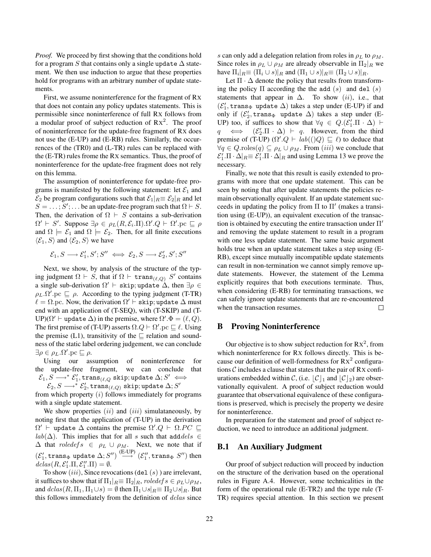*Proof.* We proceed by first showing that the conditions hold for a program S that contains only a single update  $\Delta$  statement. We then use induction to argue that these properties hold for programs with an arbitrary number of update statements.

First, we assume noninterference for the fragment of RX that does not contain any policy updates statements. This is permissible since noninterference of full RX follows from a modular proof of subject reduction of  $Rx^2$ . The proof of noninterference for the update-free fragment of RX does not use the (E-UP) and (E-RB) rules. Similarly, the occurrences of the (TR0) and (L-TR) rules can be replaced with the (E-TR) rules frome the RX semantics. Thus, the proof of noninterference for the update-free fragment does not rely on this lemma.

The assumption of noninterference for update-free programs is manifested by the following statement: let  $\mathcal{E}_1$  and  $\mathcal{E}_2$  be program configurations such that  $\mathcal{E}_1|_{R} \equiv \mathcal{E}_2|_{R}$  and let  $S = \ldots; S'; \ldots$  be an update-free program such that  $\Omega \vdash S$ . Then, the derivation of  $\Omega \vdash S$  contains a sub-derivation  $\Omega' \vdash S'$ . Suppose  $\exists \rho \in \rho_L(R, \mathcal{E}_i \cdot \Pi) \cdot \Omega' \cdot Q \vdash \Omega' \cdot pc \sqsubseteq \rho$ and  $\Omega \models \mathcal{E}_1$  and  $\Omega \models \mathcal{E}_2$ . Then, for all finite executions  $\langle \mathcal{E}_1, S \rangle$  and  $\langle \mathcal{E}_2, S \rangle$  we have

$$
\mathcal{E}_1, S \longrightarrow \mathcal{E}'_1, S'; S'' \iff \mathcal{E}_2, S \longrightarrow \mathcal{E}'_2, S'; S''
$$

Next, we show, by analysis of the structure of the typing judgment  $\Omega \vdash S$ , that if  $\Omega \vdash \texttt{trans}_{(\ell,Q)} S'$  contains a single sub-derivation  $\Omega' \vdash$  skip; update  $\Delta$ , then  $\exists \rho \in$  $\rho_L \Omega'$ . pc  $\sqsubseteq \rho$ . According to the typing judgment (T-TR)  $\ell = \Omega$ .pc. Now, the derivation  $\Omega' \vdash \texttt{skip};$  update  $\Delta$  must end with an application of (T-SEQ), with (T-SKIP) and (T-UP)( $\Omega' \vdash$  update  $\Delta$ ) in the premise, where  $\Omega'.\Phi = (\ell, Q)$ . The first premise of (T-UP) asserts  $\Omega.Q \vdash \Omega'.pc \sqsubseteq \ell$ . Using the premise (L1), transitivity of the  $\Box$  relation and soundness of the static label ordering judgement, we can conclude  $\exists \rho \in \rho_L . Ω'.pc ⊆ ρ.$ 

Using our assumption of noninterference for the update-free fragment, we can conclude that  $\mathcal{E}_1, S \longrightarrow^* \mathcal{E}'_1, \texttt{trans}_{(\ell, Q} \text{ skip; update } \Delta; S' \iff$ 

 $\mathcal{E}_2, S \longrightarrow^* \mathcal{E}'_2, \texttt{trans}_{(\ell, Q)}$  skip; update  $\Delta; S'$ 

from which property  $(i)$  follows immediately for programs with a single update statement.

We show properties  $(ii)$  and  $(iii)$  simulataneously, by noting first that the application of (T-UP) in the derivation  $\Omega' \vdash$  update  $\Delta$  contains the premise  $\Omega'.Q \vdash \Omega.PC \sqsubseteq$  $lab(\Delta)$ . This implies that for all s such that add  $dels \in$  $\Delta$  that *roledef*  $s \in \rho_L \cup \rho_M$ . Next, we note that if  $(\mathcal{E}'_1, \texttt{trans}_\Phi \texttt{ update } \Delta; S'') \overset{\text{(E-UP)}}{\longrightarrow} (\mathcal{E}''_1, \texttt{trans}_\Phi \ S'') \text{ then }$  $dclas(R, \mathcal{E}'_1.\Pi, \mathcal{E}''_1.\Pi) = \emptyset.$ 

To show  $(iii)$ , Since revocations (del  $(s)$ ) are irrelevant, it suffices to show that if  $\Pi_1|_R \equiv \Pi_2|_R$ , roledef  $s \in \rho_L \cup \rho_M$ , and  $dclas(R, \Pi_1, \Pi_1 \cup s) = \emptyset$  then  $\Pi_1 \cup s|_R \equiv \Pi_2 \cup s|_R$ . But this follows immediately from the definition of dclas since s can only add a delegation relation from roles in  $\rho_L$  to  $\rho_M$ . Since roles in  $\rho_L \cup \rho_M$  are already observable in  $\Pi_2|_R$  we have  $\Pi_i|_{R} \equiv (\Pi_i \cup s)|_R$  and  $(\Pi_1 \cup s)|_R \equiv (\Pi_2 \cup s)|_R$ .

Let  $\Pi \cdot \Delta$  denote the policy that results from transforming the policy  $\Pi$  according the the add  $(s)$  and del  $(s)$ statements that appear in  $\Delta$ . To show (ii), i.e., that  $(\mathcal{E}_1', {\tt trans}_\Phi$ update $\Delta)$  takes a step under (E-UP) if and only if  $(\mathcal{E}'_2, \mathtt{trans}_\Phi$  update  $\Delta)$  takes a step under (E-UP) too, if suffices to show that  $\forall q \in Q \cdot (\mathcal{E}_1' \cdot \Pi \cdot \Delta)$  $q \iff$  $Q'_2$ . $\Pi \cdot \Delta$   $\vdash q$ . However, from the third premise of (T-UP)  $(\Omega'.Q \vdash lab(()Q) \sqsubseteq \ell)$  to deduce that  $\forall q \in Q.\text{roles}(q) \subseteq \rho_L \cup \rho_M$ . From  $(iii)$  we conclude that  $\mathcal{E}'_1.\Pi \cdot \Delta|_R \equiv \mathcal{E}'_1.\Pi \cdot \Delta|_R$  and using Lemma 13 we prove the necessary.

Finally, we note that this result is easily extended to programs with more that one update statement. This can be seen by noting that after update statements the policies remain observationally equivalent. If an update statement succeeds in updating the policy from  $\Pi$  to  $\Pi'$  (makes a transition using (E-UP)), an equivalent execution of the transaction is obtained by executing the entire transaction under  $\Pi'$ and removing the update statement to result in a program with one less update statement. The same basic argument holds true when an update statement takes a step using (E-RB), except since mutually incompatible update statements can result in non-termination we cannot simply remove update statements. However, the statement of the Lemma explicitly requires that both executions terminate. Thus, when considering (E-RB) for terminating transactions, we can safely ignore update statements that are re-encountered when the transaction resumes. □

#### B Proving Noninterference

Our objective is to show subject reduction for  $Rx^2$ , from which noninterference for RX follows directly. This is because our definition of well-formedness for  $Rx^2$  configurations  $\mathcal C$  includes a clause that states that the pair of RX confiurations embedded within C, (i.e.  $\mathcal{C}|_1$  and  $\mathcal{C}|_2$ ) are observationally equivalent. A proof of subject reduction would guarantee that observational equivalence of these configurations is preserved, which is precisely the property we desire for noninterference.

In preparation for the statement and proof of subject reduction, we need to introduce an additional judgment.

#### B.1 An Auxiliary Judgment

Our proof of subject reduction will proceed by induction on the structure of the derivation based on the operational rules in Figure A.4. However, some technicalities in the form of the operational rule (E-TR2) and the type rule (T-TR) requires special attention. In this section we present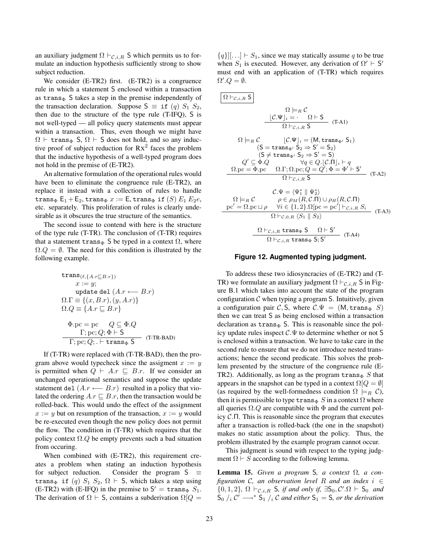an auxiliary judgment  $\Omega \vdash_{\mathcal{C},i,R} S$  which permits us to formulate an induction hypothesis sufficiently strong to show subject reduction.

We consider (E-TR2) first. (E-TR2) is a congruence rule in which a statement S enclosed within a transaction as trans $\Phi$  S takes a step in the premise independently of the transaction declaration. Suppose  $S \equiv \text{if } (q) S_1 S_2$ , then due to the structure of the type rule (T-IFQ), S is not well-typed — all policy query statements must appear within a transaction. Thus, even though we might have  $\Omega \vdash$  trans<sub>Φ</sub> S,  $\Omega \vdash$  S does not hold, and so any inductive proof of subject reduction for  $Rx^2$  faces the problem that the inductive hypothesis of a well-typed program does not hold in the premise of (E-TR2).

An alternative formulation of the operational rules would have been to eliminate the congruence rule (E-TR2), an replace it instead with a collection of rules to handle trans<sub>Φ</sub>  $E_1 + E_2$ , trans<sub>Φ</sub>  $x := E$ , trans<sub>Φ</sub> if (S)  $E_1 E_2 e$ , etc. separately. This proliferation of rules is clearly undesirable as it obscures the true structure of the semantics.

The second issue to contend with here is the structure of the type rule (T-TR). The conclusion of (T-TR) requires that a statement trans<sub>Φ</sub> S be typed in a context  $\Omega$ , where  $\Omega.Q = \emptyset$ . The need for this condition is illustrated by the following example.

trans(
$$
\ell, \{A.r \sqsubseteq B.r\}
$$
)  
\n $x := y;$   
\nupdate del  $(A.r \longleftarrow B.r)$   
\n $\Omega.\Gamma \equiv \{(x, B.r), (y, A.r)\}$   
\n $\Omega.Q \equiv \{A.r \sqsubseteq B.r\}$   
\n $\Phi.pc = pc \quad Q \subseteq \Phi.Q$   
\n $\Gamma; pc; Q; \Phi \vdash S$   
\n $\Gamma; pc; Q; \bot \text{ trans}_\Phi S$  (T-TR-BAD)

If (T-TR) were replaced with (T-TR-BAD), then the program above would typecheck since the assigment  $x := y$ is permitted when  $Q \vdash A.r \sqsubseteq B.r.$  If we consider an unchanged operational semantics and suppose the update statement del  $(A.r \leftarrow B.r)$  resulted in a policy that violated the ordering  $A.r \sqsubset B.r$ , then the transaction would be rolled-back. This would undo the effect of the assignment  $x := y$  but on resumption of the transaction,  $x := y$  would be re-executed even though the new policy does not permit the flow. The condition in (T-TR) which requires that the policy context  $\Omega$ . Q be empty prevents such a bad situation from occuring.

When combined with (E-TR2), this requirement creates a problem when stating an induction hypothesis for subject reduction. Consider the program  $S \equiv$ trans<sub>Φ</sub> if (q)  $S_1 S_2$ ,  $\Omega \vdash S$ , which takes a step using (E-TR2) with (E-IFQ) in the premise to  $S' = \text{trans}_{\Phi} S_1$ . The derivation of  $\Omega \vdash S$ , contains a subderivation  $\Omega[Q]$ 

 ${q}$ [ $|...| \vdash S_1$ , since we may statically assume q to be true when  $S_1$  is executed. However, any derivation of  $\Omega' \vdash S'$ must end with an application of (T-TR) which requires  $\Omega'.Q=\emptyset.$ 

$$
\Omega \models_R C
$$
\n
$$
\Omega \models_R C
$$
\n
$$
\mathcal{L} \bullet \mathcal{L} \bullet \mathcal{L}
$$
\n
$$
\mathcal{L} \bullet \mathcal{L} \bullet \mathcal{L}
$$
\n
$$
\mathcal{L} \bullet \mathcal{L} \bullet \mathcal{L}
$$
\n
$$
\mathcal{L} \bullet \mathcal{L}
$$
\n
$$
\mathcal{L} \bullet \mathcal{L}
$$
\n
$$
\mathcal{L} \bullet \mathcal{L}
$$
\n
$$
\mathcal{L} \bullet \mathcal{L}
$$
\n
$$
\mathcal{L} \bullet \mathcal{L}
$$
\n
$$
\mathcal{L} \bullet \mathcal{L}
$$
\n
$$
\mathcal{L} \bullet \mathcal{L}
$$
\n
$$
\mathcal{L} \bullet \mathcal{L}
$$
\n
$$
\mathcal{L} \bullet \mathcal{L}
$$
\n
$$
\mathcal{L} \bullet \mathcal{L}
$$
\n
$$
\mathcal{L} \bullet \mathcal{L}
$$
\n
$$
\mathcal{L} \bullet \mathcal{L}
$$
\n
$$
\mathcal{L} \bullet \mathcal{L}
$$
\n
$$
\mathcal{L} \bullet \mathcal{L}
$$
\n
$$
\mathcal{L} \bullet \mathcal{L}
$$
\n
$$
\mathcal{L} \bullet \mathcal{L}
$$
\n
$$
\mathcal{L} \bullet \mathcal{L}
$$
\n
$$
\mathcal{L} \bullet \mathcal{L}
$$
\n
$$
\mathcal{L} \bullet \mathcal{L}
$$
\n
$$
\mathcal{L} \bullet \mathcal{L}
$$
\n
$$
\mathcal{L} \bullet \mathcal{L}
$$
\n
$$
\mathcal{L} \bullet \mathcal{L}
$$
\n
$$
\mathcal{L} \bullet \mathcal{L}
$$
\n
$$
\mathcal{L} \bullet \mathcal{L}
$$
\n
$$
\mathcal{L} \bullet \mathcal{L}
$$
\n
$$
\mathcal{L} \bullet \mathcal{L}
$$
\n
$$
\mathcal{L} \bullet \mathcal{L}
$$
\n
$$
\mathcal{L} \bullet \mathcal{L}
$$
\n
$$
\mathcal{L} \bullet \mathcal{L}
$$
\n
$$
\math
$$

#### **Figure 12. Augmented typing judgment.**

To address these two idiosyncracies of (E-TR2) and (T-TR) we formulate an auxiliary judgment  $\Omega \vdash_{\mathcal{C},i,R} S$  in Figure B.1 which takes into account the state of the program configuration  $\mathcal C$  when typing a program S. Intuitively, given a configuration pair C, S, where  $C \Psi = (M, \text{trans}_{\Phi} S)$ then we can treat S as being enclosed within a transaction declaration as  $trans_{\Phi} S$ . This is reasonable since the policy update rules inspect  $C.\Psi$  to determine whether or not S is enclosed within a transaction. We have to take care in the second rule to ensure that we do not introduce nested transactions; hence the second predicate. This solves the problem presented by the structure of the congruence rule (E-TR2). Additionally, as long as the program trans $\Phi S$  that appears in the snapshot can be typed in a context  $\Omega[Q = \emptyset]$ (as required by the well-formedness condition  $\Omega \models_R \mathcal{C}$ ), then it is permissible to type  $\text{trans}_{\Phi} S$  in a context  $\Omega$  where all queries  $\Omega$ .Q are compatible with  $\Phi$  and the current policy C.Π. This is reasonable since the program that executes after a transaction is rolled-back (the one in the snapshot) makes no static assumption about the policy. Thus, the problem illustrated by the example program cannot occur.

This judgment is sound with respect to the typing judgment  $\Omega \vdash S$  according to the following lemma.

Lemma 15. *Given a program* S*, a context* Ω*, a configuration* C*, an observation level* R *and an index* i ∈  $\{0, 1, 2\}, \Omega \vdash_{\mathcal{C}, i, R} S$ , if and only if,  $\exists S_0, C'.\Omega \vdash S_0$  and  $S_0$  /<sub>i</sub> C'  $\longrightarrow$ <sup>\*</sup>  $S_1$  /<sub>i</sub> C and either  $S_1 = S$ , or the derivation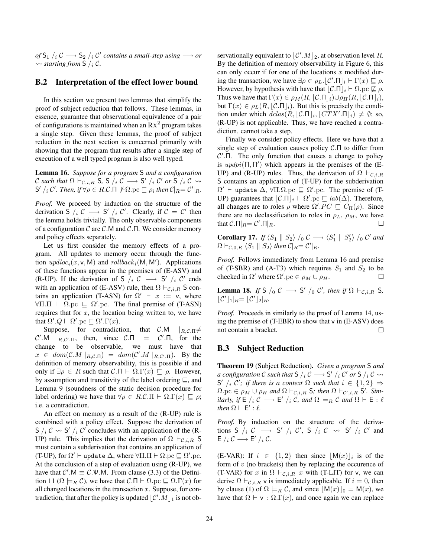$of$  S<sub>1</sub>  $/$ <sub>*i*</sub>  $\mathcal{C}$   $\longrightarrow$  S<sub>2</sub>  $/$ <sub>*i*</sub>  $\mathcal{C}'$  contains a small-step using  $\longrightarrow$  or  $\rightsquigarrow$  *starting from* **S** /<sub>i</sub> C.

## B.2 Interpretation of the effect lower bound

In this section we present two lemmas that simplify the proof of subject reduction that follows. These lemmas, in essence, guarantee that observational equivalence of a pair of configurations is maintained when an  $Rx^2$  program takes a single step. Given these lemmas, the proof of subject reduction in the next section is concerned primarily with showing that the program that results after a single step of execution of a well typed program is also well typed.

Lemma 16. *Suppose for a program* S *and a configuration* C such that  $\Omega \vdash_{\mathcal{C},i,R} S$ ,  $S \rvert_i \mathcal{C} \longrightarrow S' \rvert_i \mathcal{C}'$  or  $S \rvert_i \mathcal{C} \rightsquigarrow$  $S' /_{i} \mathcal{C}'$ . Then, if  $\forall \rho \in R \mathcal{C}$ .  $\Pi \not\vdash \Omega$ .pc  $\sqsubseteq \rho_{i}$  then  $\mathcal{C}|_{R} = \mathcal{C}'|_{R}$ .

*Proof.* We proceed by induction on the structure of the derivation S  $i \in \mathcal{C} \longrightarrow S' / i \in \mathcal{C}'$ . Clearly, if  $\mathcal{C} = \mathcal{C}'$  then the lemma holds trivially. The only observable components of a configuration  $\mathcal C$  are  $\mathcal C$ . M and  $\mathcal C$ . T. We consider memory and policy effects separately.

Let us first consider the memory effects of a program. All updates to memory occur through the function  $update_i(x, v, M)$  and  $rollback_i(M, M')$ . Applications of these functions appear in the premises of (E-ASV) and (R-UP). If the derivation of S  $/2 \rightarrow$  S'  $/2 \rightarrow$  C' ends with an application of (E-ASV) rule, then  $\Omega \vdash_{\mathcal{C},i,R} S$  contains an application (T-ASN) for  $\Omega' \vdash x := v$ , where  $\forall \Pi$ . $\Pi \vdash \Omega$ .pc  $\sqsubseteq \Omega'$ .pc. The final premise of (T-ASN) requires that for  $x$ , the location being written to, we have that  $\Omega'.Q \vdash \Omega'.pc \sqsubseteq \Omega'.\Gamma(x)$ .

Suppose, for contradiction, that  $\mathcal{C}.\mathsf{M}$  | $_{R,\mathcal{C}.\Pi}\neq$  $\mathcal{C}'$ .M | $_{R,\mathcal{C}'\text{.}\Pi}$ , then, since  $\mathcal{C}.\Pi = \mathcal{C}$  $^{\prime}$ .  $\Pi$ , for the change to be observable, we must have that  $x \in dom(\mathcal{C}.M |_{R,\mathcal{C}.\Pi}) = dom(\mathcal{C}'.M |_{R,\mathcal{C}'.\Pi}).$  By the definition of memory observability, this is possible if and only if  $\exists \rho \in R$  such that  $\mathcal{C}.\Pi \vdash \Omega.\Gamma(x) \sqsubseteq \rho$ . However, by assumption and transitivity of the label ordering  $\Box$ , and Lemma 9 (soundness of the static decision procedure for label ordering) we have that  $\forall \rho \in R.C.\Pi \vdash \Omega.\Gamma(x) \sqsubseteq \rho;$ i.e. a contradiction.

An effect on memory as a result of the (R-UP) rule is combined with a policy effect. Suppose the derivation of S /i C  $\sim$  S' /i C' concludes with an application of the (R-UP) rule. This implies that the derivation of  $\Omega \vdash_{\mathcal{C},i,R} S$ must contain a subderivation that contains an application of (T-UP), for  $\Omega' \vdash$  update  $\Delta$ , where  $\forall \Pi . \Pi \vdash \Omega . \text{pc} \sqsubseteq \Omega'. \text{pc}.$ At the conclusion of a step of evaluation using (R-UP), we have that  $C'$ . $M \equiv C \Psi$ .M. From clause (3.3) of the Definition 11 ( $\Omega \models_B \mathcal{C}$ ), we have that  $\mathcal{C}.\Pi \vdash \Omega$ .pc  $\Box \Omega.\Gamma(x)$  for all changed locations in the transaction  $x$ . Suppose, for contradiction, that after the policy is updated  $\lfloor \mathcal{C}' M \rfloor_1$  is not ob-

servationally equivalent to  $\lfloor \mathcal{C}'_1 M \rfloor_2$ , at observation level R. By the definition of memory observability in Figure 6, this can only occur if for one of the locations  $x$  modified during the transaction, we have  $\exists \rho \in \rho_L$ .  $\lfloor C'.\Pi \rfloor_i \vdash \Gamma(x) \sqsubseteq \rho$ . However, by hypothesis with have that  $\lfloor C.\Pi \rfloor_i \vdash \Omega$ .pc  $\not\sqsubseteq \rho$ . Thus we have that  $\Gamma(x) \in \rho_M(R, |\mathcal{C}.\Pi|_i) \cup \rho_H(R, |\mathcal{C}.\Pi|_i),$ but  $\Gamma(x) \in \rho_L(R, |\mathcal{C}.\Pi|_i)$ . But this is precisely the condition under which  $dclas(R, \lfloor \mathcal{C}.\Pi \rfloor_i, \lfloor CTX'.\Pi \rfloor_i) \neq \emptyset$ ; so, (R-UP) is not applicable. Thus, we have reached a contradiction. cannot take a step.

Finally we consider policy effects. Here we have that a single step of evaluation causes policy  $\mathcal{C}.\Pi$  to differ from  $C'$ . The only function that causes a change to policy is  $updpi(\Pi, \Pi')$  which appears in the premises of the (E-UP) and (R-UP) rules. Thus, the derivation of  $\Omega \vdash_{\mathcal{C},i,R}$ S contains an application of (T-UP) for the subderivation  $\Omega' \vdash$  update  $\Delta$ ,  $\forall \Pi. \Omega.$  pc  $\Box$   $\Omega'.$  pc. The premise of (T-UP) guarantees that  $\lfloor C.\Pi \rfloor_i \vdash \Omega'.\text{pc} \sqsubseteq lab(\Delta)$ . Therefore, all changes are to roles  $\rho$  where  $\Omega'.PC \sqsubseteq C_{\Pi}(\rho)$ . Since there are no declassification to roles in  $\rho_L$ ,  $\rho_M$ , we have that  $C.\Pi|_R = C'.\Pi|_R$ .  $\Box$ 

**Corollary 17.** If  $\langle S_1 \parallel S_2 \rangle /_0 \mathcal{C} \longrightarrow \langle S_1' \parallel S_2' \rangle /_0 \mathcal{C}'$  and  $\Omega \vdash_{\mathcal{C},0,R} \langle S_1 \parallel S_2 \rangle$  then  $\mathcal{C}|_{R} = \mathcal{C}'|_{R}$ .

*Proof.* Follows immediately from Lemma 16 and premise of (T-SBR) and (A-T3) which requires  $S_1$  and  $S_2$  to be checked in  $\Omega'$  where  $\Omega'.\text{pc} \in \rho_M \cup \rho_H$ .

**Lemma 18.** *If* S  $/_0$  C  $\longrightarrow$  S'  $/_0$  C', then if  $\Omega$   $\vdash_{\mathcal{C},i,R}$  S,  $\lfloor \mathcal{C}' \rfloor_1 |_{R} = \lfloor \mathcal{C}' \rfloor_2 |_{R}$ .

*Proof.* Proceeds in similarly to the proof of Lemma 14, using the premise of (T-EBR) to show that v in (E-ASV) does not contain a bracket. □

## B.3 Subject Reduction

Theorem 19 (Subject Reduction). *Given a program* S *and* a configuration  ${\cal C}$  such that  ${\sf S}$  /<sub>i</sub>  ${\cal C}$   $\longrightarrow$   ${\sf S}'$  /<sub>i</sub>  ${\cal C}'$  or  ${\sf S}$  /<sub>i</sub>  ${\cal C}$   $\leadsto$ S'  $i \in \{1, 2\}$   $\Rightarrow$  $\Omega$ .pc  $\in \rho_M \cup \rho_H$  and  $\Omega \vdash_{\mathcal{C},i,R} S$ ; then  $\Omega \vdash_{\mathcal{C}',i,R} S'$ . Sim*ilarly, if*  $E / i \mathcal{C} \longrightarrow E' / i \mathcal{C}$ *, and*  $\Omega \models_R \mathcal{C}$  *and*  $\Omega \vdash E : \ell$ *then*  $\Omega \vdash E' : \ell$ .

*Proof.* By induction on the structure of the derivations S  $/_{i}$  C  $\longrightarrow$  S'  $/_{i}$  C', S  $/_{i}$  C  $\rightsquigarrow$  S'  $/_{i}$  C' and  $E / i \mathcal{C} \longrightarrow E' / i \mathcal{C}.$ 

(E-VAR): If  $i \in \{1,2\}$  then since  $\lfloor M(x) \rfloor_i$  is of the form of  $v$  (no brackets) then by replacing the occurence of (T-VAR) for x in  $\Omega \vdash_{\mathcal{C},i,R} x$  with (T-LIT) for v, we can derive  $\Omega \vdash_{\mathcal{C},i,R}$  v is immediately applicable. If  $i = 0$ , then by clause (1) of  $\Omega \models_R \mathcal{C}$ , and since  $|M(x)|_0 = M(x)$ , we have that  $\Omega \vdash v : \Omega.\Gamma(x)$ , and once again we can replace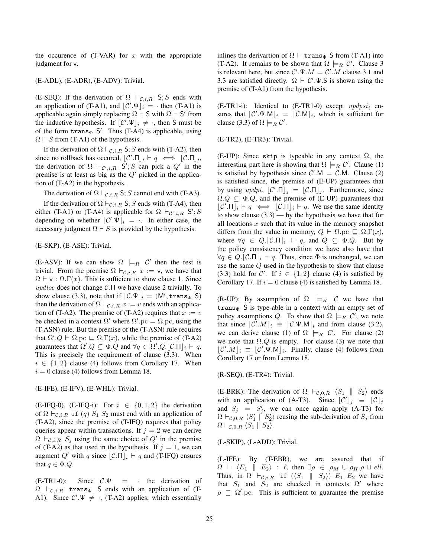the occurence of  $(T-VAR)$  for x with the appropriate judgment for v.

#### (E-ADL), (E-ADR), (E-ADV): Trivial.

(E-SEQ): If the derivation of  $\Omega \vdash_{\mathcal{C},i,R} S; S$  ends with an application of (T-A1), and  $\lfloor \mathcal{C}' \cdot \Psi \rfloor_i = \cdot$  then (T-A1) is applicable again simply replacing  $\Omega \vdash S$  with  $\Omega \vdash S'$  from the inductive hypothesis. If  $\lfloor \mathcal{C}' \cdot \Psi \rfloor_i \neq \cdot$ , then S must be of the form  $trans_{\Phi} S'$ . Thus (T-A4) is applicable, using  $\Omega \vdash S$  from (T-A1) of the hypothesis.

If the derivation of  $\Omega \vdash_{\mathcal{C},i,R} S; S$  ends with (T-A2), then since no rollback has occured,  $\lfloor \mathcal{C}' \cdot \Pi \rfloor_i \vdash q \iff \lfloor \mathcal{C} \cdot \Pi \rfloor_i$ , the derivation of  $\Omega \vdash_{\mathcal{C}',i,R} S'; S$  can pick a  $Q'$  in the premise is at least as big as the  $Q'$  picked in the application of (T-A2) in the hypothesis.

The derivation of  $\Omega \vdash_{\mathcal{C},i,R} S; S$  cannot end with (T-A3).

If the derivation of  $\Omega \vdash_{\mathcal{C},i,R} S; S$  ends with (T-A4), then either (T-A1) or (T-A4) is applicable for  $\Omega \vdash_{\mathcal{C}',i,R} S'; S'$ depending on whether  $\lfloor \mathcal{C}' \cdot \Psi \rfloor_i = \cdots$  In either case, the necessary judgment  $\Omega \vdash S$  is provided by the hypothesis.

#### (E-SKP), (E-ASE): Trivial.

(E-ASV): If we can show  $\Omega \models_R C'$  then the rest is trivial. From the premise  $\Omega \vdash_{\mathcal{C},i,R} x := v$ , we have that  $\Omega \vdash v : \Omega.\Gamma(x)$ . This is sufficient to show clause 1. Since updloc does not change  $\mathcal{C}.\Pi$  we have clause 2 trivially. To show clause (3.3), note that if  $\lfloor \mathcal{C} \cdot \Psi \rfloor_i = (M', \text{trans}_{\Phi} S)$ then the derivation of  $\Omega \vdash_{\mathcal{C},i,R} x := v$  ends with an application of (T-A2). The premise of (T-A2) requires that  $x := v$ be checked in a context  $\Omega'$  where  $\Omega'$ . pc =  $\Omega$ . pc, using the (T-ASN) rule. But the premise of the (T-ASN) rule requires that  $\Omega' . Q \vdash \Omega . pc \sqsubseteq \Omega . \Gamma(x)$ , while the premise of (T-A2) guarantees that  $\Omega' \cdot Q \subseteq \Phi \cdot Q$  and  $\forall q \in \Omega' \cdot Q \cdot [\mathcal{C} \cdot \Pi]_i \vdash q$ . This is precisely the requirement of clause (3.3). When  $i \in \{1,2\}$  clause (4) follows from Corollary 17. When  $i = 0$  clause (4) follows from Lemma 18.

(E-IFE), (E-IFV), (E-WHL): Trivial.

(E-IFQ-0), (E-IFQ-i): For  $i \in \{0,1,2\}$  the derivation of  $\Omega \vdash_{\mathcal{C},i,R}$  if  $(q)$   $S_1$   $S_2$  must end with an application of (T-A2), since the premise of (T-IFQ) requires that policy queries appear within transactions. If  $j = 2$  we can derive  $\Omega \vdash_{\mathcal{C},i,R} S_j$  using the same choice of  $Q'$  in the premise of (T-A2) as that used in the hypothesis. If  $j = 1$ , we can augment Q' with q since  $|C \cdot \Pi|_i \vdash q$  and (T-IFQ) ensures that  $q \in \Phi.Q$ .

(E-TR1-0): Since  $C.\Psi = \cdot$  the derivation of  $\Omega \vdash_{\mathcal{C},i,R}$  trans<sub>Φ</sub> S ends with an application of (T-A1). Since  $C' \Psi \neq \cdot$ , (T-A2) applies, which essentially

inlines the derivartion of  $\Omega \vdash \text{trans}_{\Phi} S$  from (T-A1) into (T-A2). It remains to be shown that  $\Omega \models_R C'$ . Clause 3 is relevant here, but since  $C'.\Psi.M = C'.M$  clause 3.1 and 3.3 are satisfied directly.  $\Omega \vdash C' \Psi$ . S is shown using the premise of (T-A1) from the hypothesis.

(E-TR1-i): Identical to (E-TR1-0) except  $updpsi_i$  ensures that  $\lfloor \mathcal{C}' \cdot \Psi \cdot M \rfloor_i = \lfloor \mathcal{C} \cdot M \rfloor_i$ , which is sufficient for clause (3.3) of  $\Omega \models_R \mathcal{C}'$ .

(E-TR2), (E-TR3): Trivial.

(E-UP): Since skip is typeable in any context  $\Omega$ , the interesting part here is showing that  $\Omega \models_R C'$ . Clause (1) is satisfied by hypothesis since  $C'$ .M = C.M. Clause (2) is satisfied since, the premise of (E-UP) guarantees that by using  $updpi$ ,  $\lfloor \mathcal{C}' \cdot \Pi \rfloor_j = \lfloor \mathcal{C} \cdot \Pi \rfloor_j$ . Furthermore, since  $\Omega.Q \subseteq \Phi.Q$ , and the premise of (E-UP) guarantees that  $\lfloor \mathcal{C}' \cdot \Pi \rfloor_i \vdash q \iff \lfloor \mathcal{C} \cdot \Pi \rfloor_i \vdash q$ . We use the same identity to show clause  $(3.3)$  — by the hypothesis we have that for all locations  $x$  such that its value in the memory snapshot differs from the value in memory,  $Q \vdash \Omega$ .pc  $\sqsubseteq \Omega.\Gamma(x)$ , where  $\forall q \in Q \mid \mathcal{C} \cap \mathcal{C} \mid i \vdash q$ , and  $Q \subseteq \Phi \cup Q$ . But by the policy consistency condition we have also have that  $\forall q \in Q. |\mathcal{C}.\Pi|_i \vdash q$ . Thus, since  $\Phi$  is unchanged, we can use the same Q used in the hypothesis to show that clause (3.3) hold for C'. If  $i \in \{1,2\}$  clause (4) is satisfied by Corollary 17. If  $i = 0$  clause (4) is satisfied by Lemma 18.

(R-UP): By assumption of  $\Omega \models_R C$  we have that trans $\Phi$  S is type-able in a context with an empty set of policy assumptions Q. To show that  $\Omega \models_R C'$ , we note that since  $\lfloor \mathcal{C}' \cdot M \rfloor_i \equiv \lfloor \mathcal{C} \cdot \Psi \cdot M \rfloor_i$  and from clause (3.2), we can derive clause (1) of  $\Omega$   $\models_R \mathcal{C}'$ . For clause (2) we note that  $\Omega$ .Q is empty. For clause (3) we note that  $\lfloor \mathcal{C}' \cdot M \rfloor_i \equiv \lfloor \mathcal{C}' \cdot \Psi \cdot M \rfloor_i$ . Finally, clause (4) follows from Corollary 17 or from Lemma 18.

(R-SEQ), (E-TR4): Trivial.

(E-BRK): The derivation of  $\Omega \vdash_{\mathcal{C},0,R} \langle S_1 \parallel S_2 \rangle$  ends with an application of (A-T3). Since  $\lfloor \mathcal{C}' \rfloor_j = \lfloor \mathcal{C} \rfloor_j$ and  $S_j = S'_j$ , we can once again apply (A-T3) for  $\Omega \vdash_{\mathcal{C},0,R} \langle S'_1 \parallel S'_2 \rangle$  reusing the sub-derivation of  $S_j$  from  $\Omega \vdash_{\mathcal{C},0,R} \langle S_1 \parallel S_2 \rangle.$ 

(L-SKIP), (L-ADD): Trivial.

(L-IFE): By (T-EBR), we are assured that if  $\Omega \vdash \langle E_1 \parallel E_2 \rangle : \ell$ , then  $\exists \rho \in \rho_M \cup \rho_H.\rho \sqcup ell$ . Thus, in  $\Omega \vdash_{\mathcal{C},i,R}$  if  $(\langle S_1 \parallel S_2 \rangle)$   $E_1$   $E_2$  we have that  $S_1$  and  $S_2$  are checked in contexts  $\Omega'$  where  $\rho \subseteq \Omega'$ .pc. This is sufficient to guarantee the premise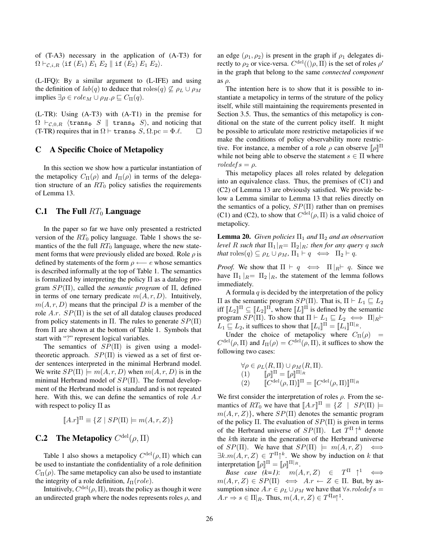of (T-A3) necessary in the application of (A-T3) for  $\Omega \vdash_{\mathcal{C},i,R} \langle \text{if } (E_1) \ E_1 \ E_2 \parallel \text{if } (E_2) \ E_1 \ E_2 \rangle.$ 

(L-IFQ): By a similar argument to (L-IFE) and using the definition of  $lab(q)$  to deduce that roles $(q) \nsubseteq \rho_L \cup \rho_M$ implies  $\exists \rho \in role_M \cup \rho_H.\rho \sqsubseteq C_{\Pi}(q).$ 

(L-TR): Using (A-T3) with (A-T1) in the premise for  $\Omega \vdash_{\mathcal{C},0,R}$  (trans<sub>Φ</sub> S  $\parallel$  trans<sub>Φ</sub> S), and noticing that (T-TR) requires that in  $\Omega \vdash \text{trans}_{\Phi} S$ ,  $\Omega$ .pc =  $\Phi \ell$ .  $\Box$ 

## C A Specific Choice of Metapolicy

In this section we show how a particular instantiation of the metapolicy  $C_{\Pi}(\rho)$  and  $I_{\Pi}(\rho)$  in terms of the delegation structure of an  $RT_0$  policy satisfies the requirements of Lemma 13.

#### **C.1** The Full  $RT_0$  Language

In the paper so far we have only presented a restricted version of the  $RT_0$  policy language. Table 1 shows the semantics of the the full  $RT_0$  language, where the new statement forms that were previously elided are boxed. Role  $\rho$  is defined by statements of the form  $\rho \leftarrow e$  whose semantics is described informally at the top of Table 1. The semantics is formalized by interpreting the policy  $\Pi$  as a datalog program SP(Π), called the *semantic program* of Π, defined in terms of one ternary predicate  $m(A, r, D)$ . Intuitively,  $m(A, r, D)$  means that the principal D is a member of the role A.r.  $SP(\Pi)$  is the set of all datalog clauses produced from policy statements in Π. The rules to generate  $SP(\Pi)$ from Π are shown at the bottom of Table 1. Symbols that start with "?" represent logical variables.

The semantics of  $SP(\Pi)$  is given using a modeltheoretic approach.  $SP(\Pi)$  is viewed as a set of first order sentences interpreted in the minimal Herbrand model. We write  $SP(\Pi) \models m(A, r, D)$  when  $m(A, r, D)$  is in the minimal Herbrand model of  $SP(\Pi)$ . The formal development of the Herbrand model is standard and is not repeated here. With this, we can define the semantics of role  $A.r$ with respect to policy  $\Pi$  as

$$
[\![A.r]\!]^\Pi \equiv \{ Z \mid SP(\Pi) \models m(A, r, Z) \}
$$

# **C.2** The Metapolicy  $C^{\text{del}}(\rho, \Pi)$

Table 1 also shows a metapolicy  $C^{\text{del}}(\rho, \Pi)$  which can be used to instantiate the confidentiality of a role definition  $C_{\Pi}(\rho)$ . The same metapolicy can also be used to instantiate the integrity of a role definition,  $I_{\Pi}(role)$ .

Intuitively,  $C^{\text{del}}(\rho, \Pi)$ , treats the policy as though it were an undirected graph where the nodes represents roles  $\rho$ , and an edge  $(\rho_1, \rho_2)$  is present in the graph if  $\rho_1$  delegates directly to  $\rho_2$  or vice-versa.  $C^{\text{del}}((\rho, \Pi)$  is the set of roles  $\rho'$ in the graph that belong to the same *connected component* as  $\rho$ .

The intention here is to show that it is possible to instantiate a metapolicy in terms of the struture of the policy itself, while still maintaining the requirements presented in Section 3.5. Thus, the semantics of this metapolicy is conditional on the state of the current policy itself. It might be possible to articulate more restrictive metapolicies if we make the conditions of policy observability more restrictive. For instance, a member of a role  $\rho$  can observe  $[\![\rho]\!]$ <sup> $\Pi$ </sup> while not being able to observe the statement  $s \in \Pi$  where  $roledefs = \rho$ .

This metapolicy places all roles related by delegation into an equivalence class. Thus, the premises of (C1) and (C2) of Lemma 13 are obviously satisfied. We provide below a Lemma similar to Lemma 13 that relies directly on the semantics of a policy,  $SP(\Pi)$  rather than on premises (C1) and (C2), to show that  $C^{\text{del}}(\rho, \Pi)$  is a valid choice of metapolicy.

**Lemma 20.** *Given policies*  $\Pi_1$  *and*  $\Pi_2$  *and an observation level* R such that  $\Pi_1|_{R} = \Pi_2|_{R}$ *; then for any query* q such *that*  $\text{roles}(q) \subseteq \rho_L \cup \rho_M$ ,  $\Pi_1 \vdash q \iff \Pi_2 \vdash q$ .

*Proof.* We show that  $\Pi \vdash q \iff \Pi |_{R} \vdash q$ . Since we have  $\Pi_1 |_{R} = \Pi_2 |_{R}$ , the statement of the lemma follows immediately.

A formula  $q$  is decided by the interpretation of the policy  $\Pi$  as the semantic program  $SP(Π)$ . That is,  $\Pi ⊢ L_1 ⊆ L_2$ iff  $[[L_2]]^{\Pi} \subseteq [[L_2]]^{\Pi}$ , where  $[[L]]^{\Pi}$  is defined by the semantic program  $SP(\Pi)$ . To show that  $\Pi \vdash L_1 \sqsubseteq L_2 \iff \Pi|_R \vdash$  $L_1 \sqsubseteq L_2$ , it suffices to show that  $[\![L_i]\!]^{\Pi} = [\![L_i]\!]^{\Pi|_R}$ .

Under the choice of metapolicy where  $C_{\Pi}(\rho)$  =  $C^{\text{del}}(\rho, \Pi)$  and  $I_{\Pi}(\rho) = C^{\text{del}}(\rho, \Pi)$ , it suffices to show the following two cases:

$$
\forall \rho \in \rho_L(R, \Pi) \cup \rho_M(R, \Pi).
$$
  
(1) 
$$
[\![\rho]\!]^{\Pi} = [\![\rho]\!]^{\Pi|_R}
$$
  
(2) 
$$
[\![C^{\text{del}}(\rho, \Pi)]\!]^{\Pi} = [\![C^{\text{del}}(\rho, \Pi)]\!]^{\Pi|_R}
$$

We first consider the interpretation of roles  $\rho$ . From the semantics of  $RT_0$  we have that  $[A.r]]^{\Pi} \equiv \{Z \mid SP(\Pi) \models$  $m(A, r, Z)$ , where  $SP(\Pi)$  denotes the semantic program of the policy Π. The evaluation of  $SP(\Pi)$  is given in terms of the Herbrand universe of  $SP(\Pi)$ . Let  $T^{\Pi} \uparrow^k$  denote the kth iterate in the generation of the Herbrand universe of  $SP(\Pi)$ . We have that  $SP(\Pi) \models m(A, r, Z) \iff$  $\exists k.m(A,r,Z) \in T^{\Pi} \uparrow^k$ . We show by induction on k that interpretation  $[\![\rho]\!]^{\Pi} = [\![\rho]\!]^{\Pi|_R}$ .

*Base case*  $(k=1)$ :  $m(A, r, Z) \in T<sup>\Pi</sup> \uparrow^1 \iff$  $m(A, r, Z) \in SP(\Pi) \iff Ax \leftarrow Z \in \Pi$ . But, by assumption since  $A.r \in \rho_L \cup \rho_M$  we have that  $\forall s. \text{volved} \in s =$  $A.r \Rightarrow s \in \Pi|_R$ . Thus,  $m(A, r, Z) \in T^{\Pi_R} \uparrow^1$ .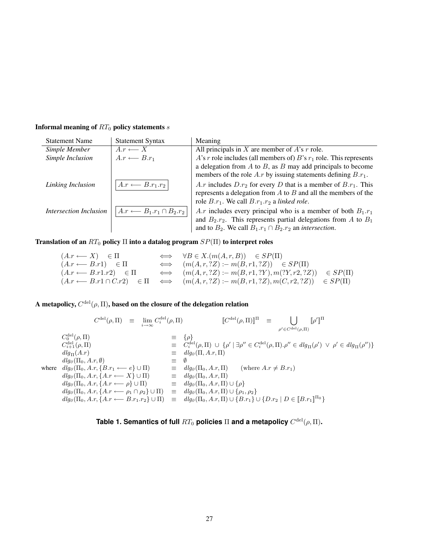| <b>Statement Name</b>         | <b>Statement Syntax</b>                   | Meaning                                                                                                                                                                                                         |
|-------------------------------|-------------------------------------------|-----------------------------------------------------------------------------------------------------------------------------------------------------------------------------------------------------------------|
| Simple Member                 | $A.r \longleftarrow X$                    | All principals in X are member of $A$ 's r role.                                                                                                                                                                |
| Simple Inclusion              | $A.r \longleftarrow B.r_1$                | A's r role includes (all members of) B's $r_1$ role. This represents                                                                                                                                            |
|                               |                                           | a delegation from $A$ to $B$ , as $B$ may add principals to become                                                                                                                                              |
|                               |                                           | members of the role $A.r$ by issuing statements defining $B.r_1$ .                                                                                                                                              |
| Linking Inclusion             | $A.r \longleftarrow B.r_1.r_2$            | A.r includes $D.r_2$ for every D that is a member of $B.r_1$ . This<br>represents a delegation from $A$ to $B$ and all the members of the<br>role $B.r_1$ . We call $B.r_1.r_2$ a linked role.                  |
| <b>Intersection Inclusion</b> | $A.r \longleftarrow B_1.r_1 \cap B_2.r_2$ | A.r includes every principal who is a member of both $B_1.r_1$<br>and $B_2.r_2$ . This represents partial delegations from A to $B_1$<br>and to $B_2$ . We call $B_1.r_1 \cap B_2.r_2$ an <i>intersection</i> . |

# Informal meaning of  $RT_0$  policy statements  $\boldsymbol{s}$

Translation of an  $RT_0$  policy  $\Pi$  into a datalog program  $SP(\Pi)$  to interpret roles

$$
(A.r \leftarrow X) \in \Pi \iff \forall B \in X.(m(A, r, B)) \in SP(\Pi)
$$
  
\n
$$
(A.r \leftarrow B.r1) \in \Pi \iff (m(A, r, ?Z) := m(B, r1, ?Z)) \in SP(\Pi)
$$
  
\n
$$
(A.r \leftarrow B.r1.r2) \in \Pi \iff (m(A, r, ?Z) := m(B, r1, ?Y), m(?Y, r2, ?Z)) \in SP(\Pi)
$$
  
\n
$$
(A.r \leftarrow B.r1 \cap C.r2) \in \Pi \iff (m(A, r, ?Z) := m(B, r1, ?Z), m(C, r2, ?Z)) \in SP(\Pi)
$$

A metapolicy,  $C^{\text{del}}(\rho,\Pi),$  based on the closure of the delegation relation

$$
C^{\text{del}}(\rho, \Pi) = \lim_{i \to \infty} C^{\text{del}}_i(\rho, \Pi) \qquad [C^{\text{del}}(\rho, \Pi)]^{\Pi} = \bigcup_{\rho' \in C^{\text{del}}(\rho, \Pi)} [\rho']^{\Pi}
$$
  
\n
$$
C^{\text{del}}_{i+1}(\rho, \Pi) = C^{\text{del}}_{i+1}(\rho, \Pi) = C^{\text{del}}_{i+1}(\rho, \Pi) = C^{\text{del}}_{i+1}(\rho, \Pi) = C^{\text{del}}_{i+1}(\rho, \Pi) = C^{\text{del}}_{i+1}(\rho, \Pi) = C^{\text{del}}_{i+1}(\rho, \Pi) \qquad \text{and} \qquad C^{\text{del}}_{i+1}(\rho, \Pi) = C^{\text{del}}_{i+1}(\rho, \Pi) \qquad \text{and} \qquad C^{\text{del}}_{i+1}(\rho, \Pi) = C^{\text{del}}_{i+1}(\rho, \Pi) \qquad \text{and} \qquad C^{\text{del}}_{i+1}(\rho, \Pi) = C^{\text{del}}_{i+1}(\rho, \Pi) \qquad \text{and} \qquad C^{\text{del}}_{i+1}(\rho, \Pi) = C^{\text{del}}_{i+1}(\rho, \Pi) = C^{\text{del}}_{i+1}(\rho, \Pi) = C^{\text{del}}_{i+1}(\rho, \Pi) = C^{\text{del}}_{i+1}(\rho, \Pi) = C^{\text{del}}_{i+1}(\rho, \Pi) = C^{\text{del}}_{i+1}(\rho, \Pi) = C^{\text{del}}_{i+1}(\rho, \Pi) = C^{\text{del}}_{i+1}(\rho, \Pi) = C^{\text{del}}_{i+1}(\rho, \Pi) = C^{\text{del}}_{i+1}(\rho, \Pi) = C^{\text{del}}_{i+1}(\rho, \Pi) = C^{\text{del}}_{i+1}(\rho, \Pi) = C^{\text{del}}_{i+1}(\Pi) = C^{\text{del}}_{i+1}(\Pi) = C^{\text{del}}_{i+1}(\rho, \Pi) = C^{\text{del}}_{i+1}(\rho, \Pi) = C^{\text{del}}_{i+1}(\rho, \Pi) = C^{\text{del}}_{i+1}(\rho, \Pi) = C^{\text{del}}_{i+1}(\rho, \
$$

**Table 1. Semantics of full**  $RT_0$  policies  $\Pi$  and a metapolicy  $C^{\text{del}}(\rho,\Pi).$